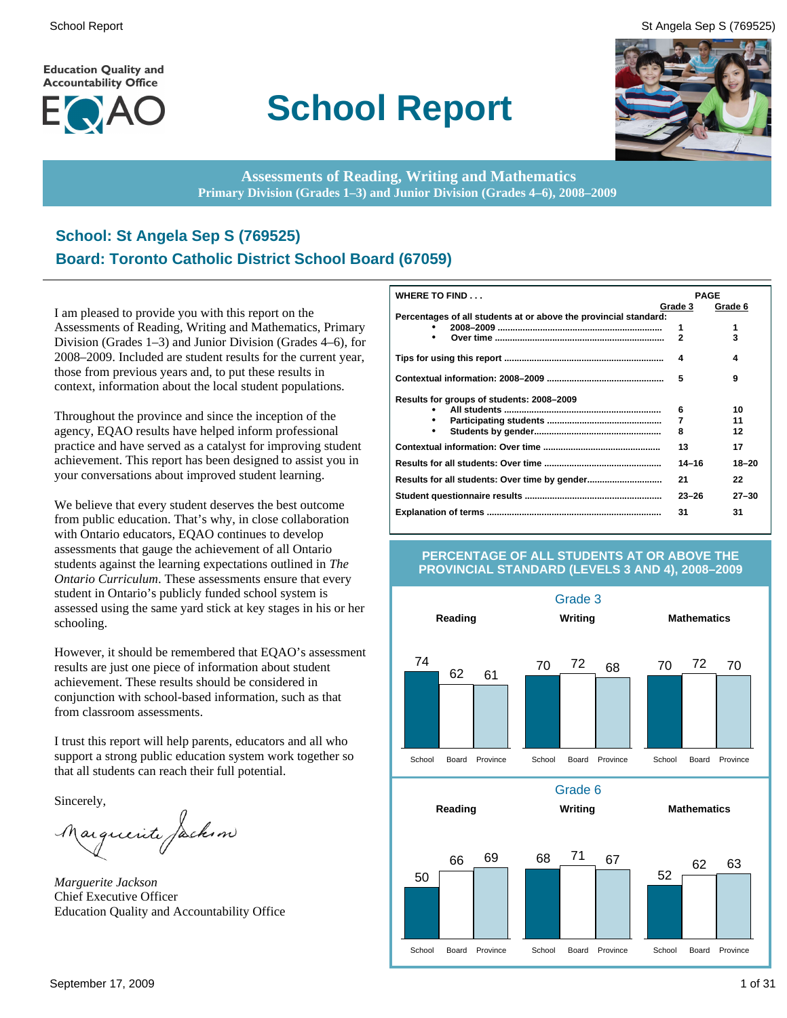**Education Quality and Accountability Office** 



## **School Report**

School Report St Angela Sep S (769525)



**Assessments of Reading, Writing and Mathematics Primary Division (Grades 1–3) and Junior Division (Grades 4–6), 2008–2009**

#### **School: St Angela Sep S (769525) Board: Toronto Catholic District School Board (67059)**

I am pleased to provide you with this report on the Assessments of Reading, Writing and Mathematics, Primary Division (Grades 1–3) and Junior Division (Grades 4–6), for 2008–2009. Included are student results for the current year, those from previous years and, to put these results in context, information about the local student populations.

Throughout the province and since the inception of the agency, EQAO results have helped inform professional practice and have served as a catalyst for improving student achievement. This report has been designed to assist you in your conversations about improved student learning.

We believe that every student deserves the best outcome from public education. That's why, in close collaboration with Ontario educators, EQAO continues to develop assessments that gauge the achievement of all Ontario students against the learning expectations outlined in *The Ontario Curriculum*. These assessments ensure that every student in Ontario's publicly funded school system is assessed using the same yard stick at key stages in his or her schooling.

However, it should be remembered that EQAO's assessment results are just one piece of information about student achievement. These results should be considered in conjunction with school-based information, such as that from classroom assessments.

I trust this report will help parents, educators and all who support a strong public education system work together so that all students can reach their full potential.

Sincerely,

Marguerite Jackson

*Marguerite Jackson* Chief Executive Officer Education Quality and Accountability Office

| WHERE TO FIND                                                    |                | <b>PAGE</b> |
|------------------------------------------------------------------|----------------|-------------|
|                                                                  | Grade 3        | Grade 6     |
| Percentages of all students at or above the provincial standard: |                |             |
|                                                                  | 1              | 1           |
| ٠                                                                | $\overline{2}$ | 3           |
|                                                                  | 4              | 4           |
|                                                                  | 5              | 9           |
| Results for groups of students: 2008-2009                        |                |             |
|                                                                  | 6              | 10          |
|                                                                  | 7              | 11          |
| ٠                                                                | 8              | 12          |
|                                                                  | 13             | 17          |
|                                                                  | $14 - 16$      | 18-20       |
|                                                                  | 21             | 22          |
|                                                                  | $23 - 26$      | $27 - 30$   |
|                                                                  | 31             | 31          |

#### **PERCENTAGE OF ALL STUDENTS AT OR ABOVE THE PROVINCIAL STANDARD (LEVELS 3 AND 4), 2008–2009**

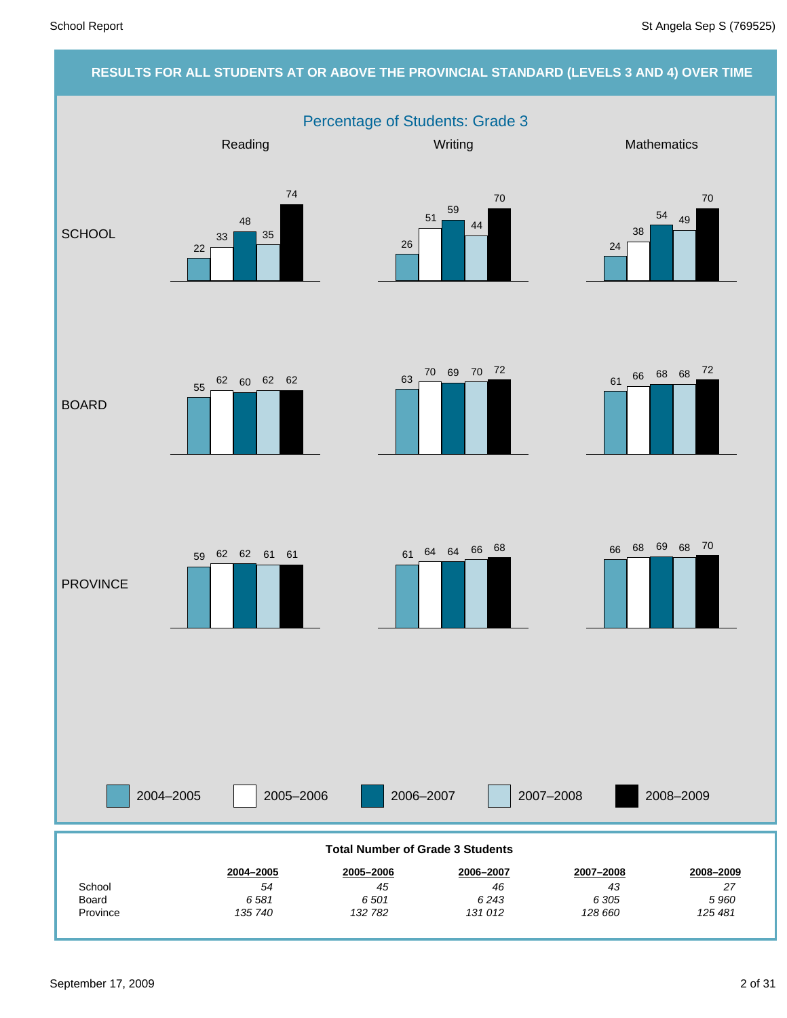#### **RESULTS FOR ALL STUDENTS AT OR ABOVE THE PROVINCIAL STANDARD (LEVELS 3 AND 4) OVER TIME** Percentage of Students: Grade 3 2004–2005 2005–2006 2006–2007 2007–2008 Reading Network Controllery Mathematics Mathematics Mathematics **SCHOOL** BOARD **PROVINCE** 2008–2009 *125 481 5 960 27* **2008–2009** *128 660 6 305 43* **2007–2008** *131 012 6 243 46* **2006–2007** *132 782 6 501 45* **2005–2006** *135 740 6 581 54* **2004–2005** Province Board School **Total Number of Grade 3 Students** 22 33 48 35 74 26 51 59 44 70 24 38  $\frac{54}{49}$ 70 61 66 68 68 72 <sup>63</sup> <sup>70</sup> <sup>69</sup> <sup>70</sup> <sup>72</sup> 55 62 60 62 62 <sup>61</sup> <sup>64</sup> <sup>64</sup> <sup>66</sup> <sup>68</sup> <sup>59</sup> <sup>62</sup> <sup>62</sup> <sup>61</sup> <sup>61</sup> <sup>66</sup> <sup>68</sup> <sup>69</sup> <sup>68</sup> <sup>70</sup>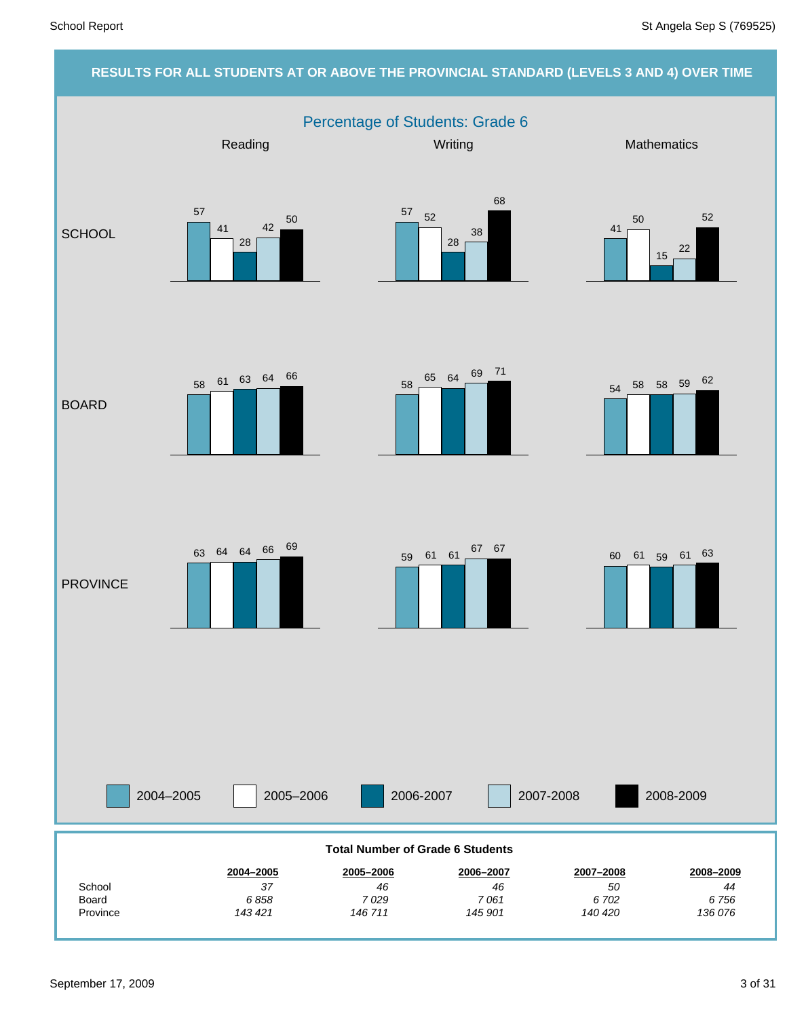#### **RESULTS FOR ALL STUDENTS AT OR ABOVE THE PROVINCIAL STANDARD (LEVELS 3 AND 4) OVER TIME** Percentage of Students: Grade 6 2004–2005 2005–2006 2006-2007 2007-2008 Reading Network Controllery Mathematics Mathematics Mathematics **SCHOOL** BOARD **PROVINCE** 2008-2009 *136 076 6 756 44* **2008–2009** *140 420 6 702 50* **2007–2008** *145 901 7 061 46* **2006–2007** *146 711 7 029 46* **2005–2006** *143 421 6 858 37* **2004–2005** Province Board **School Total Number of Grade 6 Students** 57 41 28 42  $\frac{57}{2}$  52 28 38 68 41 50 15 22 52  $58 \t 65 \t 64 \t 69 \t 71$   $54 \t 58 \t 58 \t 59 \t 62$ <sup>58</sup> <sup>61</sup> <sup>63</sup> <sup>64</sup> <sup>66</sup> 63 64 64 66 69 59 61 61 67 67 60 61 59 61 63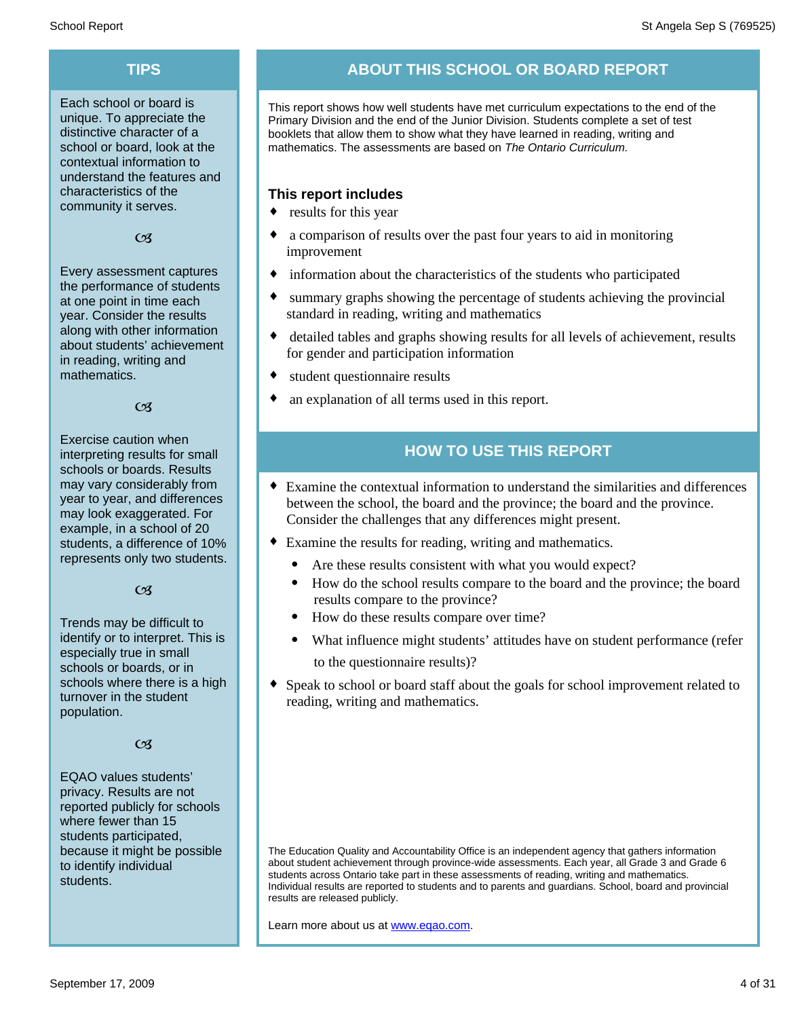Each school or board is unique. To appreciate the distinctive character of a school or board, look at the contextual information to understand the features and characteristics of the community it serves.

#### $C<sub>3</sub>$

Every assessment captures the performance of students at one point in time each year. Consider the results along with other information about students' achievement in reading, writing and mathematics.

#### $\alpha$

Exercise caution when interpreting results for small schools or boards. Results may vary considerably from year to year, and differences may look exaggerated. For example, in a school of 20 students, a difference of 10% represents only two students.

#### $C<sub>3</sub>$

Trends may be difficult to identify or to interpret. This is especially true in small schools or boards, or in schools where there is a high turnover in the student population.

#### $C<sub>3</sub>$

EQAO values students' privacy. Results are not reported publicly for schools where fewer than 15 students participated, because it might be possible to identify individual students.

#### **TIPS ABOUT THIS SCHOOL OR BOARD REPORT**

This report shows how well students have met curriculum expectations to the end of the Primary Division and the end of the Junior Division. Students complete a set of test booklets that allow them to show what they have learned in reading, writing and mathematics. The assessments are based on *The Ontario Curriculum.*

#### **This report includes**

- $\bullet$  results for this year
- a comparison of results over the past four years to aid in monitoring improvement
- $\bullet$  information about the characteristics of the students who participated
- summary graphs showing the percentage of students achieving the provincial standard in reading, writing and mathematics
- detailed tables and graphs showing results for all levels of achievement, results for gender and participation information
- student questionnaire results
- an explanation of all terms used in this report.

#### **HOW TO USE THIS REPORT**

- ¨ Examine the contextual information to understand the similarities and differences between the school, the board and the province; the board and the province. Consider the challenges that any differences might present.
- Examine the results for reading, writing and mathematics.
	- Are these results consistent with what you would expect?
	- · How do the school results compare to the board and the province; the board results compare to the province?
	- · How do these results compare over time?
	- · What influence might students' attitudes have on student performance (refer to the questionnaire results)?
- Speak to school or board staff about the goals for school improvement related to reading, writing and mathematics.

The Education Quality and Accountability Office is an independent agency that gathers information about student achievement through province-wide assessments. Each year, all Grade 3 and Grade 6 students across Ontario take part in these assessments of reading, writing and mathematics. Individual results are reported to students and to parents and guardians. School, board and provincial results are released publicly.

Learn more about us at www.eqao.com.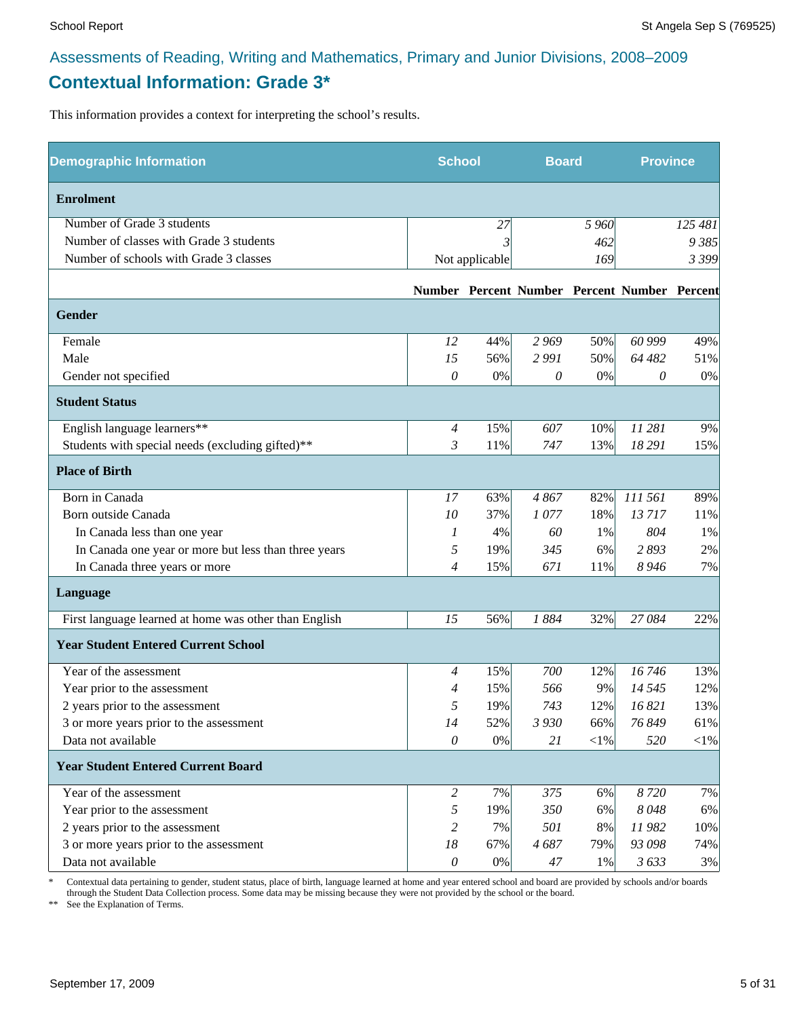#### **Contextual Information: Grade 3\***

This information provides a context for interpreting the school's results.

| <b>Demographic Information</b>                        | <b>School</b>             |                | <b>Board</b> |         | <b>Province</b>                              |         |
|-------------------------------------------------------|---------------------------|----------------|--------------|---------|----------------------------------------------|---------|
| <b>Enrolment</b>                                      |                           |                |              |         |                                              |         |
| Number of Grade 3 students                            |                           | 27             |              | 5 9 6 0 |                                              | 125 481 |
| Number of classes with Grade 3 students               |                           |                |              | 462     |                                              | 9 3 8 5 |
| Number of schools with Grade 3 classes                |                           | Not applicable |              | 169     |                                              | 3 3 9 9 |
|                                                       |                           |                |              |         | Number Percent Number Percent Number Percent |         |
| Gender                                                |                           |                |              |         |                                              |         |
| Female                                                | 12                        | 44%            | 2 9 6 9      | 50%     | 60 999                                       | 49%     |
| Male                                                  | 15                        | 56%            | 2991         | 50%     | 64 482                                       | 51%     |
| Gender not specified                                  | 0                         | 0%             | 0            | $0\%$   | 0                                            | 0%      |
| <b>Student Status</b>                                 |                           |                |              |         |                                              |         |
| English language learners**                           | $\overline{4}$            | 15%            | 607          | 10%     | 11 281                                       | 9%      |
| Students with special needs (excluding gifted)**      | 3                         | 11%            | 747          | 13%     | 18 29 1                                      | 15%     |
| <b>Place of Birth</b>                                 |                           |                |              |         |                                              |         |
| Born in Canada                                        | 17                        | 63%            | 4867         | 82%     | 111 561                                      | 89%     |
| Born outside Canada                                   | 10                        | 37%            | 1077         | 18%     | 13717                                        | 11%     |
| In Canada less than one year                          | 1                         | 4%             | 60           | 1%      | 804                                          | 1%      |
| In Canada one year or more but less than three years  | 5                         | 19%            | 345          | 6%      | 2893                                         | 2%      |
| In Canada three years or more                         | 4                         | 15%            | 671          | 11%     | 8 9 4 6                                      | 7%      |
| Language                                              |                           |                |              |         |                                              |         |
| First language learned at home was other than English | 15                        | 56%            | 1884         | 32%     | 27084                                        | 22%     |
| <b>Year Student Entered Current School</b>            |                           |                |              |         |                                              |         |
| Year of the assessment                                | $\overline{4}$            | 15%            | 700          | 12%     | 16746                                        | 13%     |
| Year prior to the assessment                          | 4                         | 15%            | 566          | 9%      | 14 5 45                                      | 12%     |
| 2 years prior to the assessment                       | 5                         | 19%            | 743          | 12%     | 16 821                                       | 13%     |
| 3 or more years prior to the assessment               | 14                        | 52%            | 3 9 3 0      | 66%     | 76 849                                       | 61%     |
| Data not available                                    | $\theta$                  | 0%             | 21           | $<$ 1%  | 520                                          | $<$ 1%  |
| <b>Year Student Entered Current Board</b>             |                           |                |              |         |                                              |         |
| Year of the assessment                                | $\overline{c}$            | 7%             | 375          | 6%      | 8720                                         | 7%      |
| Year prior to the assessment                          | 5                         | 19%            | 350          | 6%      | 8048                                         | 6%      |
| 2 years prior to the assessment                       | 2                         | 7%             | 501          | 8%      | 11982                                        | 10%     |
| 3 or more years prior to the assessment               | 18                        | 67%            | 4687         | 79%     | 93 098                                       | 74%     |
| Data not available                                    | $\boldsymbol{\mathit{0}}$ | $0\%$          | 47           | 1%      | 3633                                         | 3%      |

\* Contextual data pertaining to gender, student status, place of birth, language learned at home and year entered school and board are provided by schools and/or boards through the Student Data Collection process. Some data may be missing because they were not provided by the school or the board.

\*\* See the Explanation of Terms.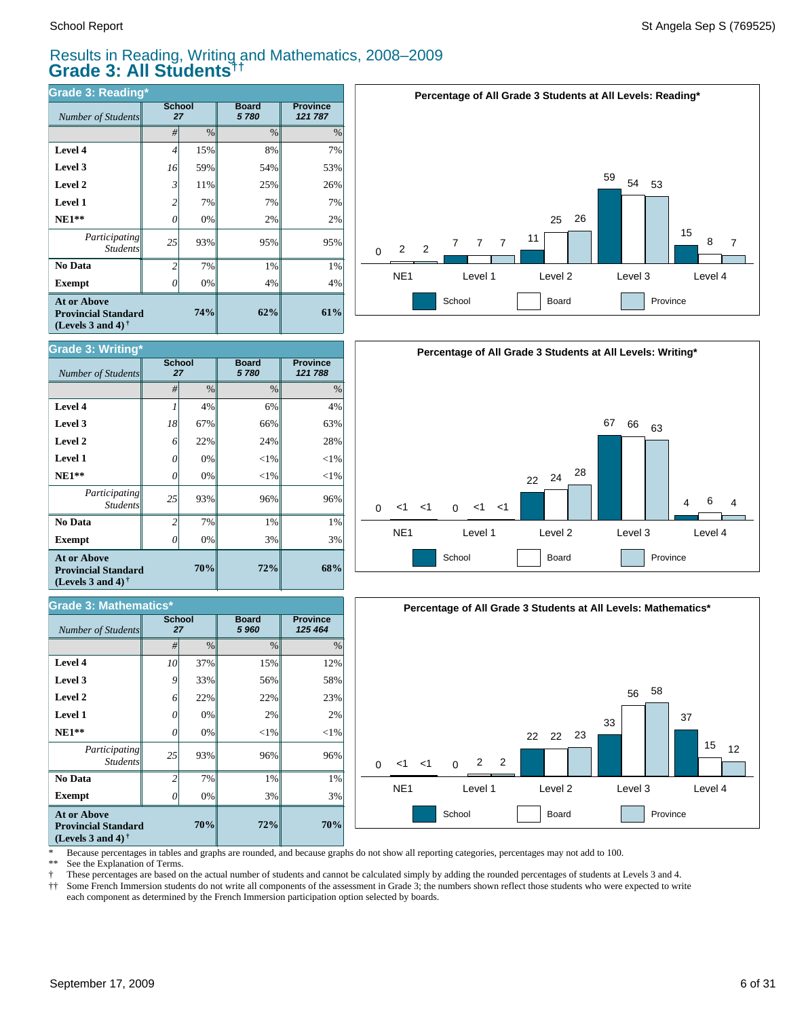#### Results in Reading, Writing and Mathematics, 2008–2009 **Grade 3: All Students††**

| <b>Grade 3: Reading*</b>                                                                             |                     |      |                      |                            |  |  |  |  |  |
|------------------------------------------------------------------------------------------------------|---------------------|------|----------------------|----------------------------|--|--|--|--|--|
| Number of Students                                                                                   | <b>School</b><br>27 |      | <b>Board</b><br>5780 | <b>Province</b><br>121 787 |  |  |  |  |  |
|                                                                                                      | #                   | $\%$ | $\%$                 | $\%$                       |  |  |  |  |  |
| Level 4                                                                                              | 4                   | 15%  | 8%                   | 7%                         |  |  |  |  |  |
| Level 3                                                                                              | 16                  | 59%  | 54%                  | 53%                        |  |  |  |  |  |
| Level 2                                                                                              | 3                   | 11%  | 25%                  | 26%                        |  |  |  |  |  |
| <b>Level 1</b>                                                                                       | $\overline{c}$      | 7%   | 7%                   | 7%                         |  |  |  |  |  |
| $NE1**$                                                                                              | 0                   | 0%   | 2%                   | 2%                         |  |  |  |  |  |
| Participating<br><b>Students</b>                                                                     | 25                  | 93%  | 95%                  | 95%                        |  |  |  |  |  |
| No Data                                                                                              | $\overline{c}$      | 7%   | 1%                   | 1%                         |  |  |  |  |  |
| <b>Exempt</b>                                                                                        | Ω                   | 0%   | 4%                   | 4%                         |  |  |  |  |  |
| <b>At or Above</b><br><b>Provincial Standard</b><br>(Levels 3 and 4) <sup><math>\dagger</math></sup> |                     | 74%  | 62%                  | 61%                        |  |  |  |  |  |







\* Because percentages in tables and graphs are rounded, and because graphs do not show all reporting categories, percentages may not add to 100.

See the Explanation of Terms.

† These percentages are based on the actual number of students and cannot be calculated simply by adding the rounded percentages of students at Levels 3 and 4.

Some French Immersion students do not write all components of the assessment in Grade 3; the numbers shown reflect those students who were expected to write each component as determined by the French Immersion participation option selected by boards.

| <b>Grade 3: Writing*</b>                                                                             |                     |               |                      |                            |  |  |  |  |
|------------------------------------------------------------------------------------------------------|---------------------|---------------|----------------------|----------------------------|--|--|--|--|
| <b>Number of Students</b>                                                                            | <b>School</b><br>27 |               | <b>Board</b><br>5780 | <b>Province</b><br>121 788 |  |  |  |  |
|                                                                                                      | #                   | $\frac{0}{0}$ | $\frac{0}{0}$        | $\%$                       |  |  |  |  |
| Level 4                                                                                              |                     | 4%            | 6%                   | 4%                         |  |  |  |  |
| Level 3                                                                                              | 18                  | 67%           | 66%                  | 63%                        |  |  |  |  |
| Level 2                                                                                              | 6                   | 22%           | 24%                  | 28%                        |  |  |  |  |
| <b>Level 1</b>                                                                                       | 0                   | 0%            | ${<}1\%$             | ${<}1\%$                   |  |  |  |  |
| $NE1**$                                                                                              | 0                   | 0%            | $<$ 1%               | $<$ 1%                     |  |  |  |  |
| Participating<br><b>Students</b>                                                                     | 25                  | 93%           | 96%                  | 96%                        |  |  |  |  |
| No Data                                                                                              | $\mathfrak{D}$      | 7%            | 1%                   | 1%                         |  |  |  |  |
| <b>Exempt</b>                                                                                        | N                   | 0%            | 3%                   | 3%                         |  |  |  |  |
| <b>At or Above</b><br><b>Provincial Standard</b><br>(Levels 3 and 4) <sup><math>\dagger</math></sup> |                     | 70%           | 72%                  | 68%                        |  |  |  |  |

| <b>Grade 3: Mathematics*</b>                                                                         |                     |               |                       |                            |  |  |  |  |
|------------------------------------------------------------------------------------------------------|---------------------|---------------|-----------------------|----------------------------|--|--|--|--|
| <b>Number of Students</b>                                                                            | <b>School</b><br>27 |               | <b>Board</b><br>5 960 | <b>Province</b><br>125 464 |  |  |  |  |
|                                                                                                      | #                   | $\frac{0}{0}$ | $\frac{0}{0}$         | $\%$                       |  |  |  |  |
| Level 4                                                                                              | 10                  | 37%           | 15%                   | 12%                        |  |  |  |  |
| Level 3                                                                                              | 9                   | 33%           | 56%                   | 58%                        |  |  |  |  |
| Level 2                                                                                              | 6                   | 22%           | 22%                   | 23%                        |  |  |  |  |
| Level 1                                                                                              | 0                   | 0%            | 2%                    | 2%                         |  |  |  |  |
| $NE1**$                                                                                              | 0                   | 0%            | ${<}1\%$              | $<$ 1%                     |  |  |  |  |
| Participating<br><b>Students</b>                                                                     | 25                  | 93%           | 96%                   | 96%                        |  |  |  |  |
| No Data                                                                                              | っ                   | 7%            | 1%                    | 1%                         |  |  |  |  |
| <b>Exempt</b>                                                                                        | 0                   | 0%            | 3%                    | 3%                         |  |  |  |  |
| <b>At or Above</b><br><b>Provincial Standard</b><br>(Levels 3 and 4) <sup><math>\dagger</math></sup> |                     | 70%           | 72%                   | 70%                        |  |  |  |  |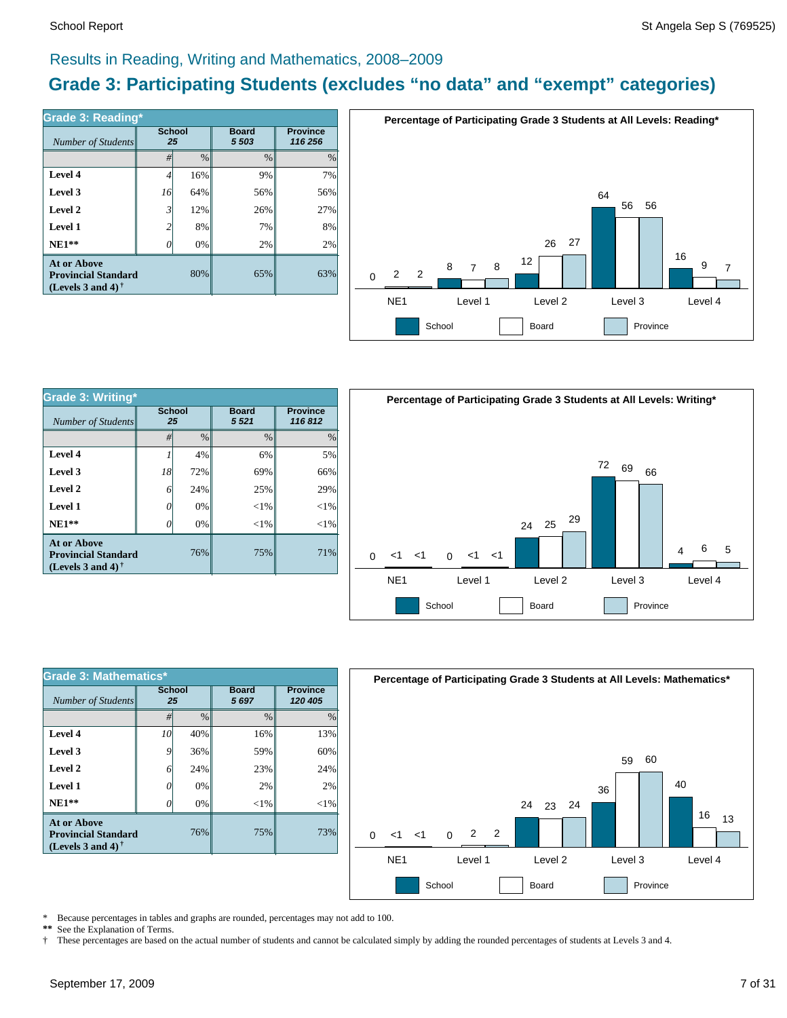#### Results in Reading, Writing and Mathematics, 2008–2009

#### **Grade 3: Participating Students (excludes "no data" and "exempt" categories)**

| Grade 3: Reading*                                                              |                     |      |                         |                            |  |  |  |  |  |
|--------------------------------------------------------------------------------|---------------------|------|-------------------------|----------------------------|--|--|--|--|--|
| Number of Students                                                             | <b>School</b><br>25 |      | <b>Board</b><br>5 5 0 3 | <b>Province</b><br>116 256 |  |  |  |  |  |
|                                                                                | #                   | $\%$ | $\frac{0}{0}$           | $\%$                       |  |  |  |  |  |
| Level 4                                                                        | 4                   | 16%  | 9%                      | 7%                         |  |  |  |  |  |
| Level 3                                                                        | 16                  | 64%  | 56%                     | 56%                        |  |  |  |  |  |
| Level 2                                                                        | $\mathfrak{Z}$      | 12%  | 26%                     | 27%                        |  |  |  |  |  |
| Level 1                                                                        | 2                   | 8%   | 7%                      | 8%                         |  |  |  |  |  |
| $NE1**$                                                                        |                     | 0%   | 2%                      | 2%                         |  |  |  |  |  |
| <b>At or Above</b><br><b>Provincial Standard</b><br>(Levels 3 and 4) $\dagger$ |                     | 80%  | 65%                     | 63%                        |  |  |  |  |  |



| <b>Grade 3: Writing*</b>                                                       |                     |               |                        |                           |  |  |  |  |
|--------------------------------------------------------------------------------|---------------------|---------------|------------------------|---------------------------|--|--|--|--|
| Number of Students                                                             | <b>School</b><br>25 |               | <b>Board</b><br>5 5 21 | <b>Province</b><br>116812 |  |  |  |  |
|                                                                                | #                   | $\frac{0}{0}$ | $\frac{0}{0}$          | $\%$                      |  |  |  |  |
| Level 4                                                                        |                     | 4%            | 6%                     | 5%                        |  |  |  |  |
| Level 3                                                                        | 18                  | 72%           | 69%                    | 66%                       |  |  |  |  |
| Level 2                                                                        | 6                   | 24%           | 25%                    | 29%                       |  |  |  |  |
| Level 1                                                                        | 0                   | 0%            | $<$ 1%                 | $<$ 1%                    |  |  |  |  |
| $NE1**$                                                                        |                     | 0%            | $<$ 1%                 | $<$ 1%                    |  |  |  |  |
| <b>At or Above</b><br><b>Provincial Standard</b><br>(Levels 3 and 4) $\dagger$ |                     | 76%           | 75%                    | 71%                       |  |  |  |  |



| <b>Grade 3: Mathematics*</b>                                                   |                     |               |                      |                            |  |  |  |  |
|--------------------------------------------------------------------------------|---------------------|---------------|----------------------|----------------------------|--|--|--|--|
| Number of Students                                                             | <b>School</b><br>25 |               | <b>Board</b><br>5697 | <b>Province</b><br>120 405 |  |  |  |  |
|                                                                                | #                   | $\frac{0}{0}$ | $\frac{0}{0}$        | $\%$                       |  |  |  |  |
| Level 4                                                                        | 10                  | 40%           | 16%                  | 13%                        |  |  |  |  |
| Level 3                                                                        | 9                   | 36%           | 59%                  | 60%                        |  |  |  |  |
| Level 2                                                                        | 6                   | 24%           | 23%                  | 24%                        |  |  |  |  |
| Level 1                                                                        | 0                   | 0%            | 2%                   | 2%                         |  |  |  |  |
| $NE1**$                                                                        | Ω                   | 0%            | $<$ 1%               | $<$ 1%                     |  |  |  |  |
| <b>At or Above</b><br><b>Provincial Standard</b><br>(Levels 3 and 4) $\dagger$ |                     | 76%           | 75%                  | 73%                        |  |  |  |  |



\* Because percentages in tables and graphs are rounded, percentages may not add to 100.<br>\*\* See the Explanation of Terms See the Explanation of Terms.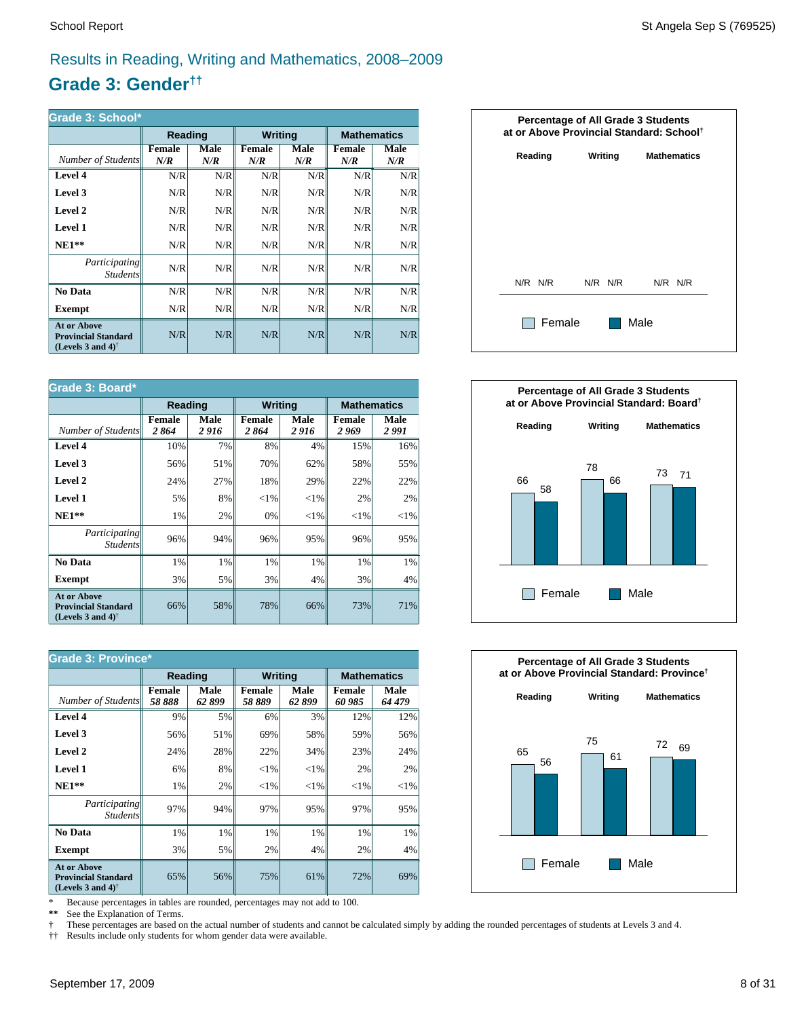#### Results in Reading, Writing and Mathematics, 2008–2009

#### **Grade 3: Gender††**

| Grade 3: School*                                                                                     |                      |             |                      |             |                      |             |  |
|------------------------------------------------------------------------------------------------------|----------------------|-------------|----------------------|-------------|----------------------|-------------|--|
|                                                                                                      | Reading              |             | <b>Writing</b>       |             | <b>Mathematics</b>   |             |  |
| Number of Students                                                                                   | <b>Female</b><br>N/R | Male<br>N/R | <b>Female</b><br>N/R | Male<br>N/R | <b>Female</b><br>N/R | Male<br>N/R |  |
| Level 4                                                                                              | N/R                  | N/R         | N/R                  | N/R         | N/R                  | N/R         |  |
| Level 3                                                                                              | N/R                  | N/R         | N/R                  | N/R         | N/R                  | N/R         |  |
| Level 2                                                                                              | N/R                  | N/R         | N/R                  | N/R         | N/R                  | N/R         |  |
| Level 1                                                                                              | N/R                  | N/R         | N/R                  | N/R         | N/R                  | N/R         |  |
| $NE1**$                                                                                              | N/R                  | N/R         | N/R                  | N/R         | N/R                  | N/R         |  |
| <i>Participating</i><br><i>Students</i>                                                              | N/R                  | N/R         | N/R                  | N/R         | N/R                  | N/R         |  |
| No Data                                                                                              | N/R                  | N/R         | N/R                  | N/R         | N/R                  | N/R         |  |
| Exempt                                                                                               | N/R                  | N/R         | N/R                  | N/R         | N/R                  | N/R         |  |
| <b>At or Above</b><br><b>Provincial Standard</b><br>(Levels 3 and 4) <sup><math>\dagger</math></sup> | N/R                  | N/R         | N/R                  | N/R         | N/R                  | N/R         |  |

| Grade 3: Board*                                                                |                       |                |                       |                |                        |               |  |
|--------------------------------------------------------------------------------|-----------------------|----------------|-----------------------|----------------|------------------------|---------------|--|
|                                                                                | Reading               |                | <b>Writing</b>        |                | <b>Mathematics</b>     |               |  |
| Number of Students                                                             | <b>Female</b><br>2864 | Male<br>2 9 16 | <b>Female</b><br>2864 | Male<br>2 9 16 | <b>Female</b><br>2 969 | Male<br>2 991 |  |
| Level 4                                                                        | 10%                   | 7%             | 8%                    | 4%             | 15%                    | 16%           |  |
| Level 3                                                                        | 56%                   | 51%            | 70%                   | 62%            | 58%                    | 55%           |  |
| Level 2                                                                        | 24%                   | 27%            | 18%                   | 29%            | 22%                    | 22%           |  |
| <b>Level 1</b>                                                                 | 5%                    | 8%             | ${<}1\%$              | $<$ 1%         | 2%                     | 2%            |  |
| $NE1**$                                                                        | 1%                    | 2%             | 0%                    | ${<}1\%$       | ${<}1\%$               | ${<}1\%$      |  |
| <i>Participating</i><br><b>Students</b>                                        | 96%                   | 94%            | 96%                   | 95%            | 96%                    | 95%           |  |
| No Data                                                                        | 1%                    | 1%             | 1%                    | 1%             | 1%                     | $1\%$         |  |
| Exempt                                                                         | 3%                    | 5%             | 3%                    | 4%             | 3%                     | $4\%$         |  |
| <b>At or Above</b><br><b>Provincial Standard</b><br>(Levels 3 and 4) $\dagger$ | 66%                   | 58%            | 78%                   | 66%            | 73%                    | 71%           |  |

| <b>Grade 3: Province*</b>                                                      |                        |               |                         |               |                         |                |  |  |  |
|--------------------------------------------------------------------------------|------------------------|---------------|-------------------------|---------------|-------------------------|----------------|--|--|--|
|                                                                                | Reading                |               | <b>Writing</b>          |               | <b>Mathematics</b>      |                |  |  |  |
| Number of Students                                                             | <b>Female</b><br>58888 | Male<br>62899 | <b>Female</b><br>58 889 | Male<br>62899 | <b>Female</b><br>60 985 | Male<br>64 479 |  |  |  |
| Level 4                                                                        | 9%                     | 5%            | 6%                      | 3%            | 12%                     | 12%            |  |  |  |
| Level 3                                                                        | 56%                    | 51%           | 69%                     | 58%           | 59%                     | 56%            |  |  |  |
| Level 2                                                                        | 24%                    | 28%           | 22%                     | 34%           | 23%                     | 24%            |  |  |  |
| Level 1                                                                        | 6%                     | 8%            | $<$ 1%                  | ${<}1\%$      | 2%                      | 2%             |  |  |  |
| $NE1**$                                                                        | 1%                     | 2%            | ${<}1\%$                | ${<}1\%$      | ${<}1\%$                | ${<}1\%$       |  |  |  |
| <i>Participating</i><br><i>Students</i>                                        | 97%                    | 94%           | 97%                     | 95%           | 97%                     | 95%            |  |  |  |
| No Data                                                                        | 1%                     | 1%            | 1%                      | 1%            | 1%                      | 1%             |  |  |  |
| <b>Exempt</b>                                                                  | 3%                     | 5%            | 2%                      | 4%            | 2%                      | 4%             |  |  |  |
| <b>At or Above</b><br><b>Provincial Standard</b><br>(Levels 3 and 4) $\dagger$ | 65%                    | 56%           | 75%                     | 61%           | 72%                     | 69%            |  |  |  |

\* Because percentages in tables are rounded, percentages may not add to 100.<br>\*\* See the Explanation of Terms.

See the Explanation of Terms.

† These percentages are based on the actual number of students and cannot be calculated simply by adding the rounded percentages of students at Levels 3 and 4.<br>†† Results include only students for whom gender data were ava

†† Results include only students for whom gender data were available.





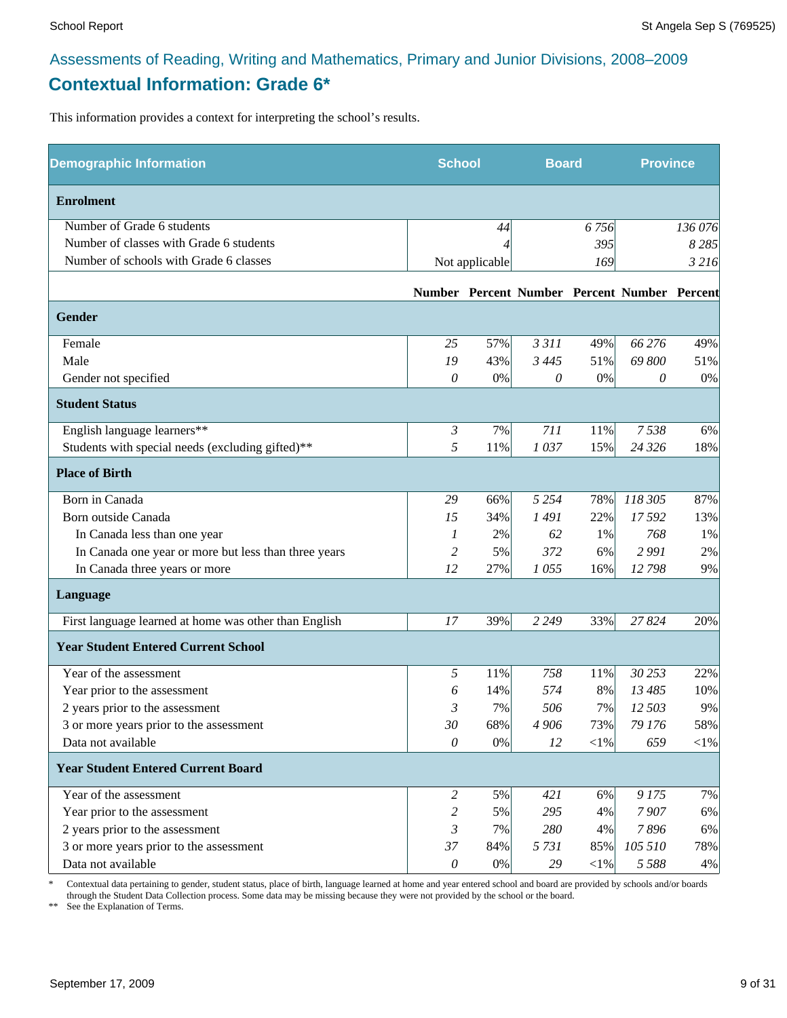#### Assessments of Reading, Writing and Mathematics, Primary and Junior Divisions, 2008–2009 **Contextual Information: Grade 6\***

This information provides a context for interpreting the school's results.

| <b>Demographic Information</b>                        | <b>School</b>  |                | <b>Board</b> |            | <b>Province</b>                              |         |
|-------------------------------------------------------|----------------|----------------|--------------|------------|----------------------------------------------|---------|
| <b>Enrolment</b>                                      |                |                |              |            |                                              |         |
| Number of Grade 6 students                            |                | 44             |              | 6756       |                                              | 136 076 |
| Number of classes with Grade 6 students               |                |                |              | 395        |                                              | 8 2 8 5 |
| Number of schools with Grade 6 classes                |                | Not applicable |              | 169        |                                              | 3 2 16  |
|                                                       |                |                |              |            | Number Percent Number Percent Number Percent |         |
| <b>Gender</b>                                         |                |                |              |            |                                              |         |
| Female                                                | 25             | 57%            | 3 3 1 1      | 49%        | 66 276                                       | 49%     |
| Male                                                  | 19             | 43%            | 3 4 4 5      | 51%        | 69 800                                       | 51%     |
| Gender not specified                                  | $\theta$       | $0\%$          | 0            | 0%         | 0                                            | 0%      |
| <b>Student Status</b>                                 |                |                |              |            |                                              |         |
| English language learners**                           | $\mathfrak{Z}$ | 7%             | 711          | 11%        | 7538                                         | 6%      |
| Students with special needs (excluding gifted)**      | 5              | 11%            | 1037         | 15%        | 24 3 26                                      | 18%     |
| <b>Place of Birth</b>                                 |                |                |              |            |                                              |         |
| Born in Canada                                        | 29             | 66%            | 5 2 5 4      | 78%        | 118 305                                      | 87%     |
| Born outside Canada                                   | 15             | 34%            | 1491         | 22%        | 17592                                        | 13%     |
| In Canada less than one year                          | 1              | 2%             | 62           | 1%         | 768                                          | 1%      |
| In Canada one year or more but less than three years  | 2              | 5%             | 372          | 6%         | 2991                                         | 2%      |
| In Canada three years or more                         | 12             | 27%            | 1055         | 16%        | 12798                                        | 9%      |
| Language                                              |                |                |              |            |                                              |         |
| First language learned at home was other than English | 17             | 39%            | 2 2 4 9      | 33%        | 27824                                        | 20%     |
| <b>Year Student Entered Current School</b>            |                |                |              |            |                                              |         |
| Year of the assessment                                | 5              | 11%            | 758          | 11%        | 30 253                                       | 22%     |
| Year prior to the assessment                          | 6              | 14%            | 574          | 8%         | 13 485                                       | 10%     |
| 2 years prior to the assessment                       | 3              | 7%             | 506          | 7%         | 12 503                                       | 9%      |
| 3 or more years prior to the assessment               | 30             | 68%            | 4 906        | 73%        | 79 176                                       | 58%     |
| Data not available                                    | $\theta$       | $0\%$          | 12           | $<\!\!1\%$ | 659                                          | $<$ 1%  |
| <b>Year Student Entered Current Board</b>             |                |                |              |            |                                              |         |
| Year of the assessment                                | 2              | 5%             | 421          | 6%         | 9175                                         | 7%      |
| Year prior to the assessment                          | 2              | 5%             | 295          | 4%         | 7907                                         | 6%      |
| 2 years prior to the assessment                       | 3              | 7%             | 280          | 4%         | 7896                                         | 6%      |
| 3 or more years prior to the assessment               | 37             | 84%            | 5 7 3 1      | 85%        | 105 510                                      | 78%     |
| Data not available                                    | $\theta$       | $0\%$          | 29           | $<\!\!1\%$ | 5 5 8 8                                      | 4%      |

\* Contextual data pertaining to gender, student status, place of birth, language learned at home and year entered school and board are provided by schools and/or boards through the Student Data Collection process. Some data may be missing because they were not provided by the school or the board.

\*\* See the Explanation of Terms.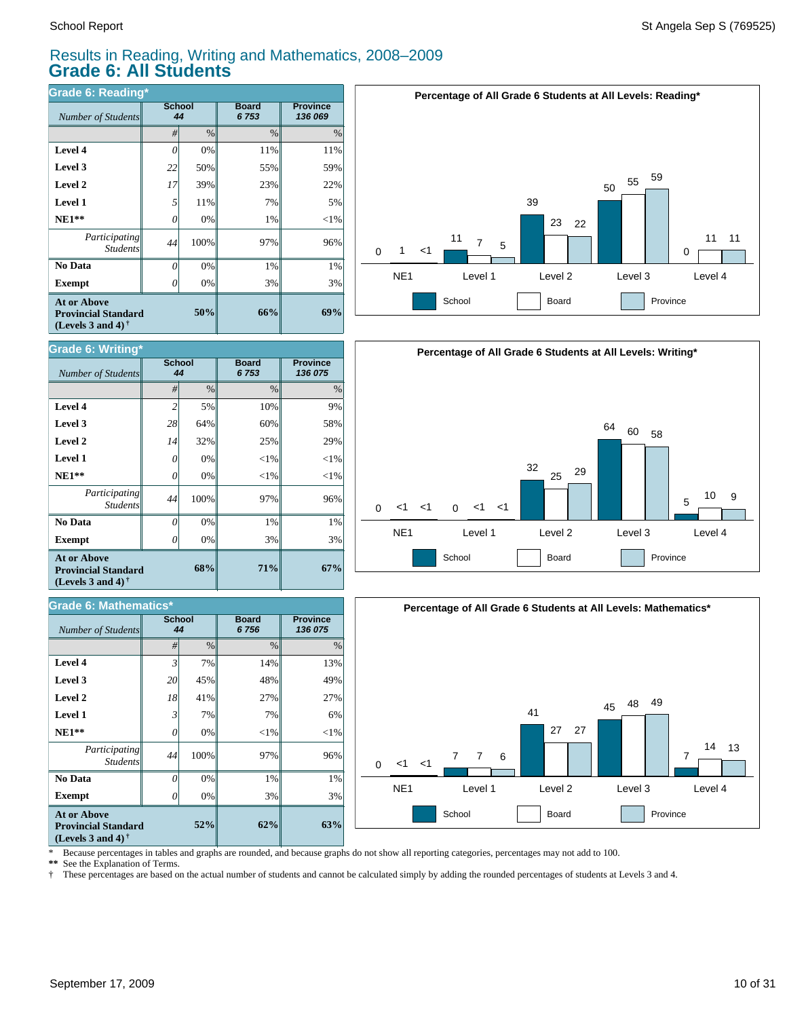$Number of Students$ 

**Grade 6: Writing\***

**Exempt**  $\qquad$  0

*Participating Students*

 **No Data**

**At or Above Provincial Standard (Levels 3 and 4) †**

 $Number of Students$ 

**Grade 6: Mathematics\***

 **NE1\*\* Level 1 Level 2 Level 3 Level 4**

#### Results in Reading, Writing and Mathematics, 2008–2009 **Grade 6: All Students**

**Board** *6 753*

**71%**

*#* % % %

**62%**

3% 1% 97%  $<$ 1% 7% 27% 48% 14%

**Board** *6 756*

3% 1% 97%  $<$ 1%  $< 1\%$ 25% 60% 10% **Province** *136 075*

**Province** *136 075*

| Grade 6: Reading*                                                                                           |                     |               |                      |                            |  |  |  |
|-------------------------------------------------------------------------------------------------------------|---------------------|---------------|----------------------|----------------------------|--|--|--|
| Number of Students                                                                                          | <b>School</b><br>44 |               | <b>Board</b><br>6753 | <b>Province</b><br>136 069 |  |  |  |
|                                                                                                             | #                   | $\frac{0}{0}$ | $\frac{0}{0}$        | $\%$                       |  |  |  |
| Level 4                                                                                                     | 0                   | 0%            | 11%                  | 11%                        |  |  |  |
| Level 3                                                                                                     | 22                  | 50%           | 55%                  | 59%                        |  |  |  |
| Level 2                                                                                                     | 17                  | 39%           | 23%                  | 22%                        |  |  |  |
| <b>Level 1</b>                                                                                              | 5                   | 11%           | 7%                   | 5%                         |  |  |  |
| $NE1**$                                                                                                     | 0                   | 0%            | 1%                   | $<$ 1%                     |  |  |  |
| Participating<br><b>Students</b>                                                                            | 44                  | 100%          | 97%                  | 96%                        |  |  |  |
| No Data                                                                                                     | 0                   | 0%            | 1%                   | 1%                         |  |  |  |
| <b>Exempt</b>                                                                                               | 0                   | 0%            | 3%                   | 3%                         |  |  |  |
| <b>At or Above</b><br>50%<br><b>Provincial Standard</b><br>(Levels 3 and 4) <sup><math>\dagger</math></sup> |                     |               | 66%                  | 69%                        |  |  |  |

**School**

School<br>44







**52% (Levels 3 and 4) †** \* Because percentages in tables and graphs are rounded, and because graphs do not show all reporting categories, percentages may not add to 100.

0% 0% 100% 0% 7% 41% 45% 7%

**68%**

0% 0% 100% 0% 0% 32% 64% 5%

**\*\*** See the Explanation of Terms.

**Exempt** *0* 

*Participating Students*

 **No Data**

**At or Above Provincial Standard**

 **NE1\*\* Level 1 Level 2 Level 3 Level 4**

† These percentages are based on the actual number of students and cannot be calculated simply by adding the rounded percentages of students at Levels 3 and 4.

**63%**

3% 1% 96%  $<$ 1% 6% 27% 49% 13%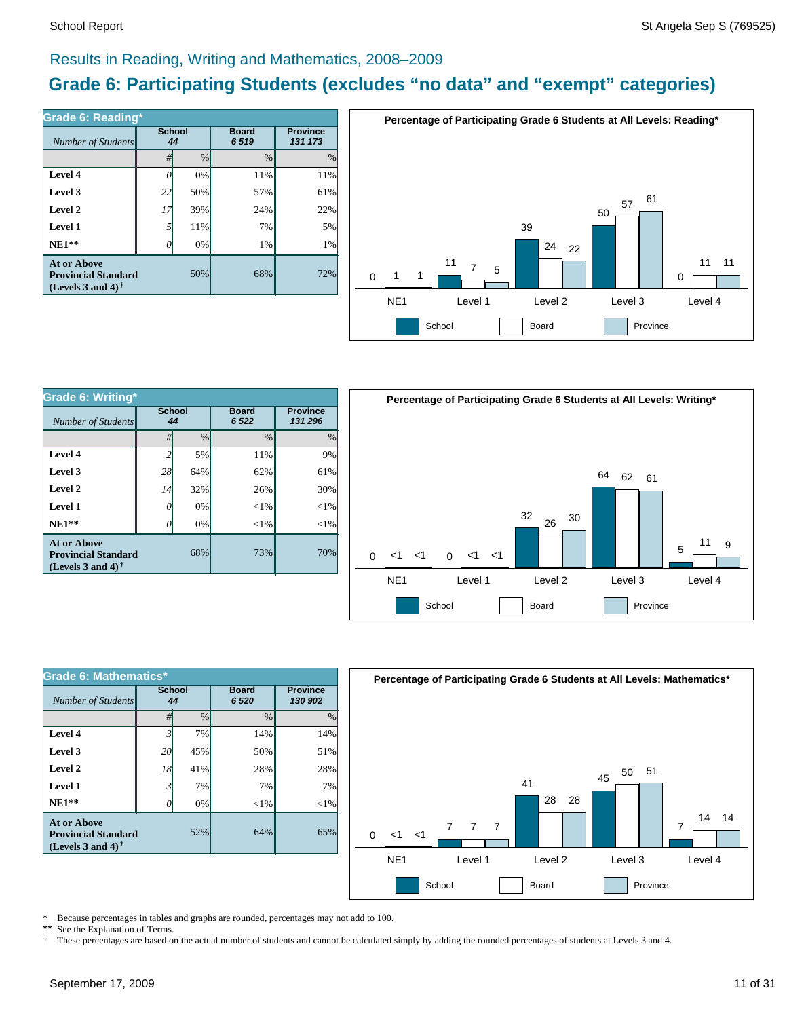#### Results in Reading, Writing and Mathematics, 2008–2009

#### **Grade 6: Participating Students (excludes "no data" and "exempt" categories)**

| Number of Students                                                             | <b>School</b><br>44 |      | <b>Board</b><br>6519 | <b>Province</b><br>131 173 |  |
|--------------------------------------------------------------------------------|---------------------|------|----------------------|----------------------------|--|
|                                                                                | #                   | $\%$ | %                    | $\%$                       |  |
| Level 4                                                                        |                     | 0%   | 11%                  | 11%                        |  |
| Level 3                                                                        | 22                  | 50%  | 57%                  | 61%                        |  |
| Level 2                                                                        | 17                  | 39%  | 24%                  | 22%                        |  |
| Level 1                                                                        | 5                   | 11%  | 7%                   | 5%                         |  |
| $NE1**$                                                                        |                     | 0%   | 1%                   | 1%                         |  |
| <b>At or Above</b><br><b>Provincial Standard</b><br>(Levels 3 and 4) $\dagger$ | 50%                 | 68%  | 72%                  |                            |  |



| <b>Grade 6: Writing*</b>                                                              |                     |     |                        |        |  |  |  |
|---------------------------------------------------------------------------------------|---------------------|-----|------------------------|--------|--|--|--|
| Number of Students                                                                    | <b>School</b><br>44 |     | <b>Board</b><br>6 5 22 |        |  |  |  |
|                                                                                       | $\frac{0}{0}$<br>#  |     | $\frac{0}{0}$          | $\%$   |  |  |  |
| Level 4                                                                               | 2                   | 5%  | 11%                    | 9%     |  |  |  |
| Level 3                                                                               | 28                  | 64% | 62%                    | 61%    |  |  |  |
| Level 2                                                                               | 14                  | 32% | 26%                    | 30%    |  |  |  |
| Level 1                                                                               | 0                   | 0%  | ${<}1\%$               | $<$ 1% |  |  |  |
| $NE1**$                                                                               |                     | 0%  | ${<}1\%$               | $<$ 1% |  |  |  |
| <b>At or Above</b><br>68%<br><b>Provincial Standard</b><br>(Levels 3 and 4) $\dagger$ |                     |     | 73%                    | 70%    |  |  |  |



| Grade 6: Mathematics*                                                                 |                     |               |                        |                            |  |  |  |
|---------------------------------------------------------------------------------------|---------------------|---------------|------------------------|----------------------------|--|--|--|
| Number of Students                                                                    | <b>School</b><br>44 |               | <b>Board</b><br>6 5 20 | <b>Province</b><br>130 902 |  |  |  |
|                                                                                       | #                   | $\frac{0}{0}$ | $\frac{0}{0}$          | $\frac{0}{0}$              |  |  |  |
| Level 4                                                                               | $\mathfrak{Z}$      | 7%            | 14%                    | 14%                        |  |  |  |
| Level 3                                                                               | 20                  | 45%           | 50%                    | 51%                        |  |  |  |
| Level 2                                                                               | 18                  | 41%           | 28%                    | 28%                        |  |  |  |
| Level 1                                                                               | 3                   | 7%            | 7%                     | 7%                         |  |  |  |
| $NE1**$                                                                               | 0                   | 0%            | $<$ 1%                 | $<$ 1%                     |  |  |  |
| <b>At or Above</b><br>52%<br><b>Provincial Standard</b><br>(Levels 3 and 4) $\dagger$ |                     |               | 64%                    | 65%                        |  |  |  |



\* Because percentages in tables and graphs are rounded, percentages may not add to 100.<br>\*\* See the Explanation of Terms See the Explanation of Terms.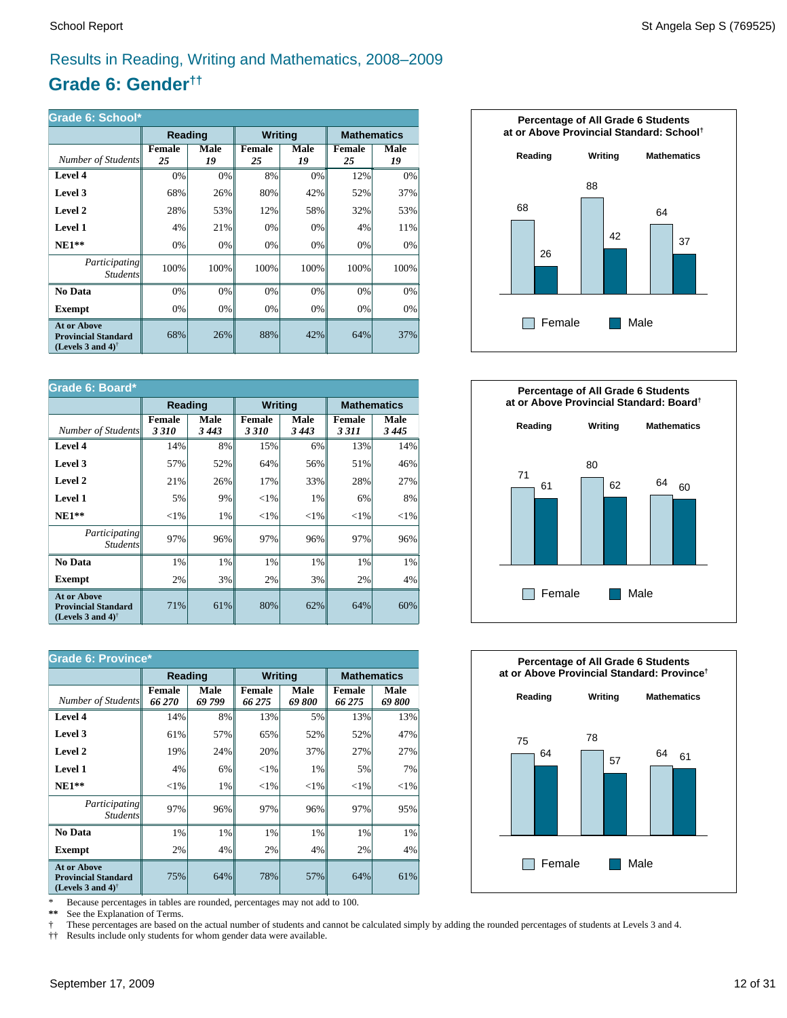#### Results in Reading, Writing and Mathematics, 2008–2009

#### **Grade 6: Gender††**

| Grade 6: School*                                                                                     |              |                   |                |            |                     |            |  |
|------------------------------------------------------------------------------------------------------|--------------|-------------------|----------------|------------|---------------------|------------|--|
|                                                                                                      | Reading      |                   | <b>Writing</b> |            | <b>Mathematics</b>  |            |  |
| Number of Students                                                                                   | Female<br>25 | <b>Male</b><br>19 | Female<br>25   | Male<br>19 | <b>Female</b><br>25 | Male<br>19 |  |
| Level 4                                                                                              | 0%           | 0%                | 8%             | 0%         | 12%                 | 0%         |  |
| Level 3                                                                                              | 68%          | 26%               | 80%            | 42%        | 52%                 | 37%        |  |
| Level 2                                                                                              | 28%          | 53%               | 12%            | 58%        | 32%                 | 53%        |  |
| Level 1                                                                                              | 4%           | 21%               | 0%             | 0%         | 4%                  | 11%        |  |
| $NE1**$                                                                                              | 0%           | 0%                | 0%             | 0%         | 0%                  | 0%         |  |
| <i>Participating</i><br><b>Students</b>                                                              | 100%         | 100%              | 100%           | 100%       | 100%                | 100%       |  |
| <b>No Data</b>                                                                                       | 0%           | 0%                | 0%             | 0%         | 0%                  | 0%         |  |
| Exempt                                                                                               | 0%           | 0%                | 0%             | 0%         | 0%                  | 0%         |  |
| <b>At or Above</b><br><b>Provincial Standard</b><br>(Levels 3 and 4) <sup><math>\dagger</math></sup> | 68%          | 26%               | 88%            | 42%        | 64%                 | 37%        |  |

| Grade 6: Board*                                                                |                       |                 |                       |                 |                          |                    |  |
|--------------------------------------------------------------------------------|-----------------------|-----------------|-----------------------|-----------------|--------------------------|--------------------|--|
|                                                                                | Reading               |                 | <b>Writing</b>        |                 |                          | <b>Mathematics</b> |  |
| Number of Students                                                             | <b>Female</b><br>3310 | Male<br>3 4 4 3 | <b>Female</b><br>3310 | Male<br>3 4 4 3 | <b>Female</b><br>3 3 1 1 | Male<br>3445       |  |
| Level 4                                                                        | 14%                   | 8%              | 15%                   | 6%              | 13%                      | 14%                |  |
| Level 3                                                                        | 57%                   | 52%             | 64%                   | 56%             | 51%                      | 46%                |  |
| Level 2                                                                        | 21%                   | 26%             | 17%                   | 33%             | 28%                      | 27%                |  |
| <b>Level 1</b>                                                                 | 5%                    | 9%              | ${<}1\%$              | 1%              | 6%                       | 8%                 |  |
| $NE1**$                                                                        | ${<}1\%$              | 1%              | ${<}1\%$              | ${<}1\%$        | ${<}1\%$                 | ${<}1\%$           |  |
| Participating<br><b>Students</b>                                               | 97%                   | 96%             | 97%                   | 96%             | 97%                      | 96%                |  |
| No Data                                                                        | 1%                    | 1%              | 1%                    | 1%              | 1%                       | 1%                 |  |
| Exempt                                                                         | 2%                    | 3%              | 2%                    | 3%              | 2%                       | 4%                 |  |
| <b>At or Above</b><br><b>Provincial Standard</b><br>(Levels 3 and 4) $\dagger$ | 71%                   | 61%             | 80%                   | 62%             | 64%                      | 60%                |  |

| <b>Grade 6: Province*</b>                                                      |                         |                |                         |               |                         |               |  |
|--------------------------------------------------------------------------------|-------------------------|----------------|-------------------------|---------------|-------------------------|---------------|--|
|                                                                                | Reading                 |                | <b>Writing</b>          |               | <b>Mathematics</b>      |               |  |
| Number of Students                                                             | <b>Female</b><br>66 270 | Male<br>69 799 | <b>Female</b><br>66 275 | Male<br>69800 | <b>Female</b><br>66 275 | Male<br>69800 |  |
| Level 4                                                                        | 14%                     | 8%             | 13%                     | 5%            | 13%                     | 13%           |  |
| Level 3                                                                        | 61%                     | 57%            | 65%                     | 52%           | 52%                     | 47%           |  |
| Level 2                                                                        | 19%                     | 24%            | 20%                     | 37%           | 27%                     | 27%           |  |
| Level 1                                                                        | 4%                      | 6%             | ${<}1\%$                | 1%            | 5%                      | 7%            |  |
| $NE1**$                                                                        | ${<}1\%$                | 1%             | ${<}1\%$                | ${<}1\%$      | ${<}1\%$                | ${<}1\%$      |  |
| <i>Participating</i><br><i>Students</i>                                        | 97%                     | 96%            | 97%                     | 96%           | 97%                     | 95%           |  |
| No Data                                                                        | 1%                      | 1%             | 1%                      | 1%            | 1%                      | 1%            |  |
| <b>Exempt</b>                                                                  | 2%                      | 4%             | 2%                      | 4%            | 2%                      | 4%            |  |
| <b>At or Above</b><br><b>Provincial Standard</b><br>(Levels 3 and 4) $\dagger$ | 75%                     | 64%            | 78%                     | 57%           | 64%                     | 61%           |  |

\* Because percentages in tables are rounded, percentages may not add to 100.<br>\*\* See the Explanation of Terms.

See the Explanation of Terms.

† These percentages are based on the actual number of students and cannot be calculated simply by adding the rounded percentages of students at Levels 3 and 4.<br>†† Results include only students for whom gender data were ava

†† Results include only students for whom gender data were available.





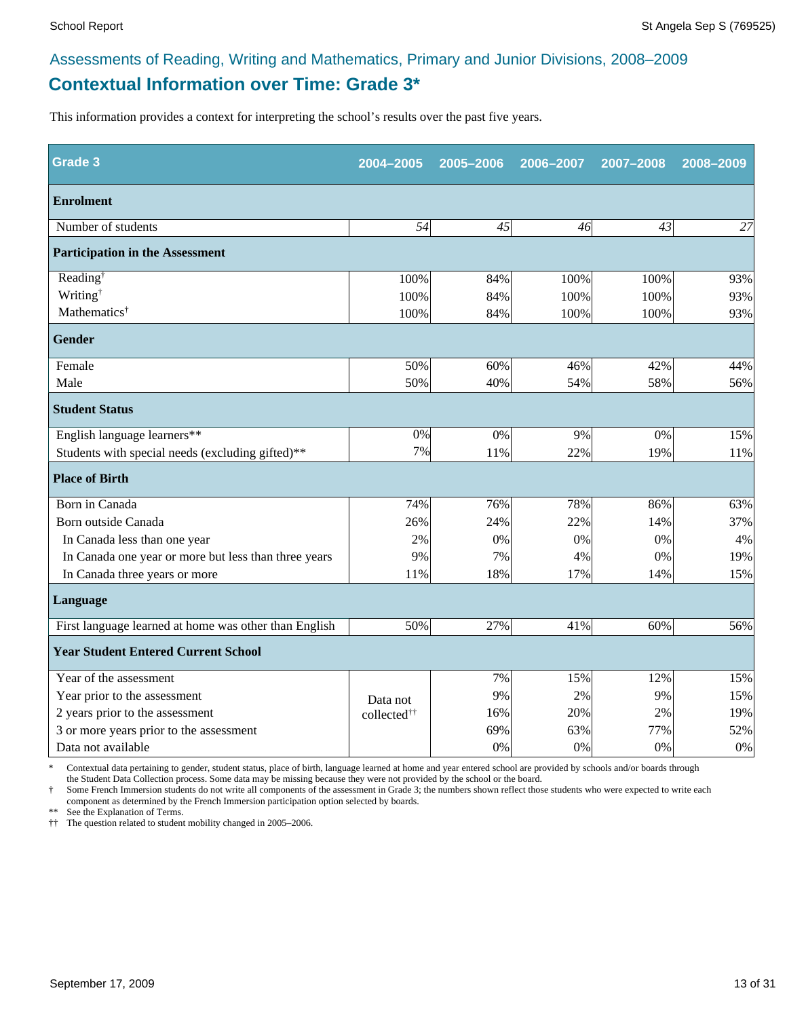#### **Contextual Information over Time: Grade 3\*** Assessments of Reading, Writing and Mathematics, Primary and Junior Divisions, 2008–2009

This information provides a context for interpreting the school's results over the past five years.

| Grade 3                                               | 2004-2005               | 2005-2006 | 2006-2007 | 2007-2008 | 2008-2009 |
|-------------------------------------------------------|-------------------------|-----------|-----------|-----------|-----------|
| <b>Enrolment</b>                                      |                         |           |           |           |           |
| Number of students                                    | 54                      | 45        | 46        | 43        | 27        |
| <b>Participation in the Assessment</b>                |                         |           |           |           |           |
| Reading <sup>†</sup>                                  | 100%                    | 84%       | 100%      | 100%      | 93%       |
| Writing <sup>†</sup>                                  | 100%                    | 84%       | 100%      | 100%      | 93%       |
| Mathematics <sup>†</sup>                              | 100%                    | 84%       | 100%      | 100%      | 93%       |
| <b>Gender</b>                                         |                         |           |           |           |           |
| Female                                                | 50%                     | 60%       | 46%       | 42%       | 44%       |
| Male                                                  | 50%                     | 40%       | 54%       | 58%       | 56%       |
| <b>Student Status</b>                                 |                         |           |           |           |           |
| English language learners**                           | 0%                      | 0%        | 9%        | 0%        | 15%       |
| Students with special needs (excluding gifted)**      | 7%                      | 11%       | 22%       | 19%       | 11%       |
| <b>Place of Birth</b>                                 |                         |           |           |           |           |
| Born in Canada                                        | 74%                     | 76%       | 78%       | 86%       | 63%       |
| Born outside Canada                                   | 26%                     | 24%       | 22%       | 14%       | 37%       |
| In Canada less than one year                          | 2%                      | 0%        | 0%        | 0%        | 4%        |
| In Canada one year or more but less than three years  | 9%                      | 7%        | 4%        | 0%        | 19%       |
| In Canada three years or more                         | 11%                     | 18%       | 17%       | 14%       | 15%       |
| Language                                              |                         |           |           |           |           |
| First language learned at home was other than English | 50%                     | 27%       | 41%       | 60%       | 56%       |
| <b>Year Student Entered Current School</b>            |                         |           |           |           |           |
| Year of the assessment                                |                         | 7%        | 15%       | 12%       | 15%       |
| Year prior to the assessment                          | Data not                | 9%        | 2%        | 9%        | 15%       |
| 2 years prior to the assessment                       | collected <sup>††</sup> | 16%       | 20%       | 2%        | 19%       |
| 3 or more years prior to the assessment               |                         | 69%       | 63%       | 77%       | 52%       |
| Data not available                                    |                         | 0%        | 0%        | 0%        | 0%        |

\* Contextual data pertaining to gender, student status, place of birth, language learned at home and year entered school are provided by schools and/or boards through the Student Data Collection process. Some data may be missing because they were not provided by the school or the board.

Some French Immersion students do not write all components of the assessment in Grade 3; the numbers shown reflect those students who were expected to write each component as determined by the French Immersion participation option selected by boards.

\*\* See the Explanation of Terms.

†† The question related to student mobility changed in 2005–2006.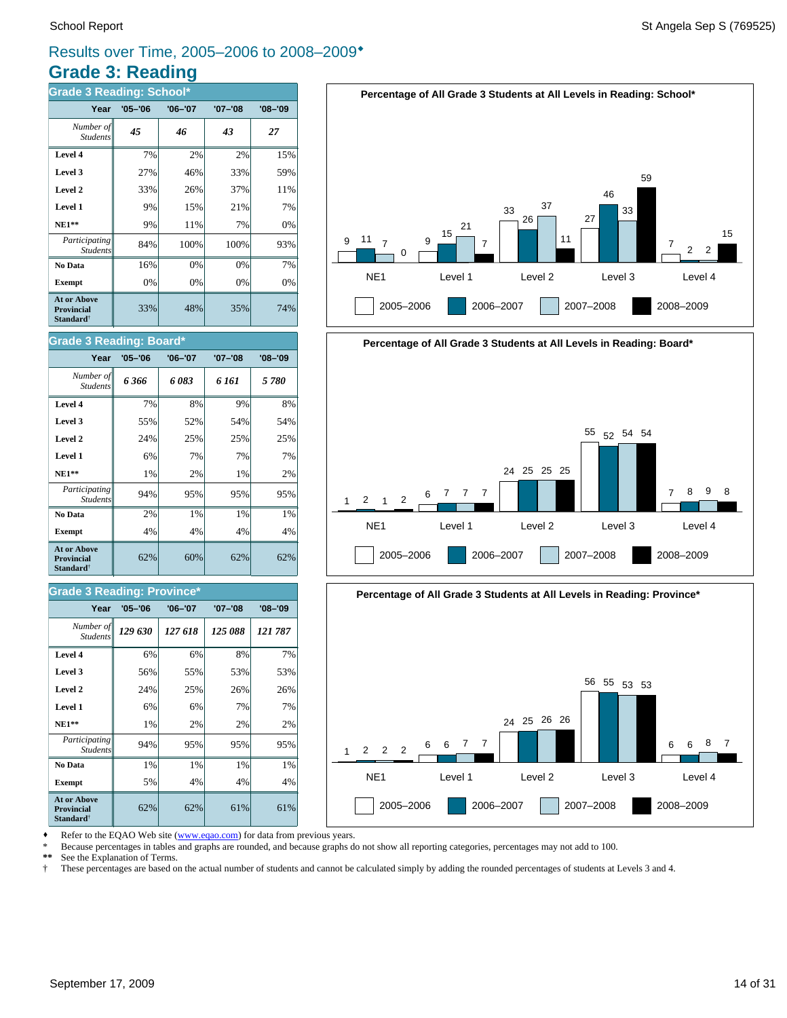#### **Grade 3: Reading** Results over Time, 2005–2006 to 2008–2009\*

| <b>Grade 3 Reading: School*</b>                                         |             |         |             |             |  |  |  |
|-------------------------------------------------------------------------|-------------|---------|-------------|-------------|--|--|--|
| Year                                                                    | $'05 - '06$ | '06-'07 | $'07 - '08$ | $'08 - '09$ |  |  |  |
| Number of<br><b>Students</b>                                            | 45          | 46      | 43          | 27          |  |  |  |
| Level 4                                                                 | 7%          | 2%      | 2%          | 15%         |  |  |  |
| Level 3                                                                 | 27%         | 46%     | 33%         | 59%         |  |  |  |
| Level 2                                                                 | 33%         | 26%     | 37%         | 11%         |  |  |  |
| Level 1                                                                 | 9%          | 15%     | 21%         | 7%          |  |  |  |
| <b>NE1**</b>                                                            | 9%          | 11%     | 7%          | 0%          |  |  |  |
| Participating<br><b>Students</b>                                        | 84%         | 100%    | 100%        | 93%         |  |  |  |
| No Data                                                                 | 16%         | 0%      | 0%          | 7%          |  |  |  |
| <b>Exempt</b>                                                           | 0%          | 0%      | 0%          | 0%          |  |  |  |
| <b>At or Above</b><br><b>Provincial</b><br><b>Standard</b> <sup>†</sup> | 33%         | 48%     | 35%         | 74%         |  |  |  |

# **Percentage of All Grade 3 Students at All Levels in Reading: School\***



#### **Grade 3 Reading: Board\***

| Year                                                         | $'05 - '06$ | $'06 - '07$ | '07-'08 | $'08 - '09$ |
|--------------------------------------------------------------|-------------|-------------|---------|-------------|
| Number of<br><b>Students</b>                                 | 6 366       | 6 083       | 6 161   | 5780        |
| Level 4                                                      | 7%          | 8%          | 9%      | 8%          |
| Level 3                                                      | 55%         | 52%         | 54%     | 54%         |
| Level 2                                                      | 24%         | 25%         | 25%     | 25%         |
| Level 1                                                      | 6%          | 7%          | 7%      | 7%          |
| $NE1**$                                                      | 1%          | 2%          | 1%      | 2%          |
| Participating<br><b>Students</b>                             | 94%         | 95%         | 95%     | 95%         |
| No Data                                                      | 2%          | $1\%$       | $1\%$   | 1%          |
| <b>Exempt</b>                                                | 4%          | 4%          | 4%      | 4%          |
| <b>At or Above</b><br><b>Provincial</b><br><b>Standard</b> † | 62%         | 60%         | 62%     | 62%         |

#### **Grade 3 Reading: Province\***

| Year                                                                    | $'05 - '06$ | $'06 - '07$ | $'07 - '08$ | $'08 - '09$ |
|-------------------------------------------------------------------------|-------------|-------------|-------------|-------------|
| Number of<br><b>Students</b>                                            | 129 630     | 127 618     | 125 088     | 121 787     |
| Level 4                                                                 | 6%          | 6%          | 8%          | 7%          |
| Level 3                                                                 | 56%         | 55%         | 53%         | 53%         |
| Level 2                                                                 | 24%         | 25%         | 26%         | 26%         |
| Level 1                                                                 | 6%          | 6%          | 7%          | 7%          |
| $NE1**$                                                                 | 1%          | 2%          | 2%          | 2%          |
| Participating<br><b>Students</b>                                        | 94%         | 95%         | 95%         | 95%         |
| No Data                                                                 | 1%          | 1%          | 1%          | 1%          |
| <b>Exempt</b>                                                           | 5%          | 4%          | 4%          | 4%          |
| <b>At or Above</b><br><b>Provincial</b><br><b>Standard</b> <sup>†</sup> | 62%         | 62%         | 61%         | 61%         |





Refer to the EQAO Web site (www.eqao.com) for data from previous years.

\* Because percentages in tables and graphs are rounded, and because graphs do not show all reporting categories, percentages may not add to 100.

See the Explanation of Terms.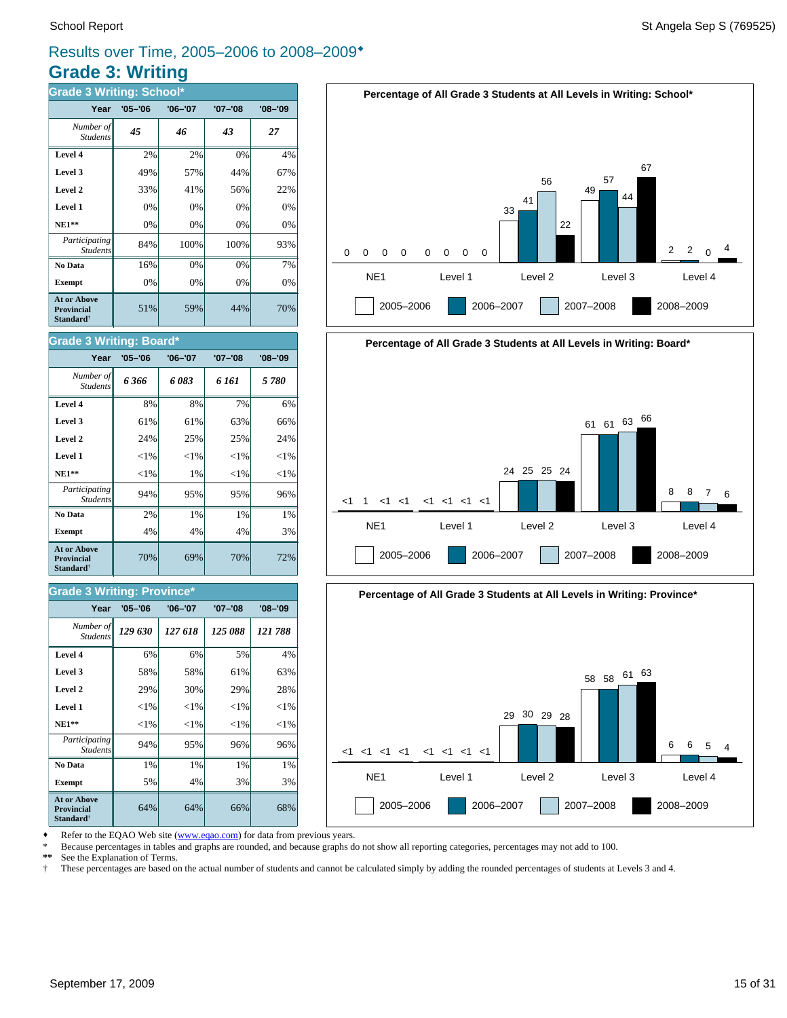#### **Grade 3: Writing** Results over Time, 2005–2006 to 2008–2009\*

| <b>Grade 3 Writing: School*</b>                                         |             |             |             |             |  |  |  |  |
|-------------------------------------------------------------------------|-------------|-------------|-------------|-------------|--|--|--|--|
| Year                                                                    | $'05 - '06$ | $'06 - '07$ | $'07 - '08$ | $'08 - '09$ |  |  |  |  |
| Number of<br><b>Students</b>                                            | 45          | 46          | 43          | 27          |  |  |  |  |
| Level 4                                                                 | 2%          | 2%          | 0%          | 4%          |  |  |  |  |
| Level 3                                                                 | 49%         | 57%         | 44%         | 67%         |  |  |  |  |
| Level 2                                                                 | 33%         | 41%         | 56%         | 22%         |  |  |  |  |
| Level 1                                                                 | 0%          | 0%          | 0%          | 0%          |  |  |  |  |
| $NE1**$                                                                 | 0%          | 0%          | 0%          | 0%          |  |  |  |  |
| Participating<br><b>Students</b>                                        | 84%         | 100%        | 100%        | 93%         |  |  |  |  |
| No Data                                                                 | 16%         | 0%          | 0%          | 7%          |  |  |  |  |
| <b>Exempt</b>                                                           | 0%          | 0%          | 0%          | 0%          |  |  |  |  |
| <b>At or Above</b><br><b>Provincial</b><br><b>Standard</b> <sup>†</sup> | 51%         | 59%         | 44%         | 70%         |  |  |  |  |

#### School Report St Angela Sep S (769525)







Refer to the EQAO Web site (www.eqao.com) for data from previous years.

**Exempt**  $\begin{vmatrix} 5\% & 4\% \end{vmatrix}$  3% 3% **No Data**  $\begin{array}{|c|c|c|c|} \hline \textbf{No Data} & 1\% & 1\% & 1\% \hline \end{array}$ *Participating* 94% 95% 96% 96%

**NE1\*\***  $\| \le 1\% \| \le 1\% \| \le 1\% \| \le 1\%$  **Level 1** <1% <1% <1% <1% **Level 2**  $\begin{vmatrix} 2.9\% & 30\% & 29\% \end{vmatrix}$  29% 28% **Level 3**  $\begin{vmatrix} 58\% & 58\% \end{vmatrix}$  61% 63% **Level 4**  $\begin{vmatrix} 6\% & 6\% \end{vmatrix}$  6% 5% 4%

64% 64% 66% 68%

70% 69% 70% 72%

**Exempt**  $\begin{array}{|c|c|c|c|} \hline \end{array}$  4% 4% 4% 4% 3% **No Data**  $\begin{array}{|c|c|c|c|} \hline \textbf{No Data} & 2\% & 1\% & 1\% \hline \end{array}$ *Participating* 94% 95% 95% 96%

*129 630 127 618 125 088 121 788 Number of*

**Year '05–'06 '06–'07 '07–'08 '08–'09**

 **NE1\*\*** <1% 1% <1% <1% **Level 1**  $\left| \begin{array}{c} | & | & | \leq 1\% & | & | \leq 1\% & | \leq 1\% & | \end{array} \right|$ **Level 2**  $\begin{vmatrix} 24\% & 25\% \end{vmatrix}$  25% 24% **Level 3**  $\begin{vmatrix} 61\% & 61\% \end{vmatrix}$  63% 66% **Level 4** 8% 8% 7% 6% *6 366 6 083 6 161 5 780 Number of*

**Year '05–'06 '06–'07 '07–'08 '08–'09**

Students

**At or Above Provincial Standard**†

Student.

**Grade 3 Writing: Board\***

\* Because percentages in tables and graphs are rounded, and because graphs do not show all reporting categories, percentages may not add to 100.

**\*\*** See the Explanation of Terms.

*Student* 

**At or Above Provincial Standard**†

*Students*

**Grade 3 Writing: Province\***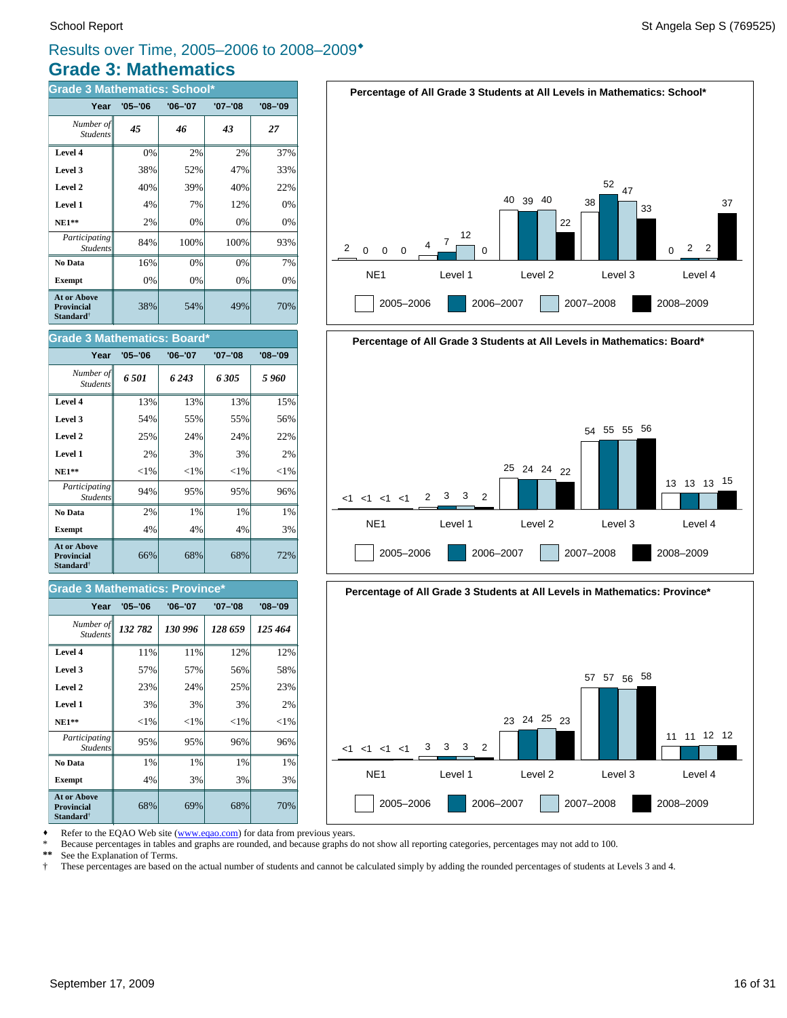#### **Grade 3: Mathematics** Results over Time, 2005–2006 to 2008–2009\*

| <b>Grade 3 Mathematics: School*</b>                                     |             |             |         |             |  |
|-------------------------------------------------------------------------|-------------|-------------|---------|-------------|--|
| Year                                                                    | $'05 - '06$ | $'06 - '07$ | '07-'08 | $'08 - '09$ |  |
| Number of<br><b>Students</b>                                            | 45          | 46          | 43      | 27          |  |
| Level 4                                                                 | 0%          | 2%          | 2%      | 37%         |  |
| Level 3                                                                 | 38%         | 52%         | 47%     | 33%         |  |
| Level 2                                                                 | 40%         | 39%         | 40%     | 22%         |  |
| Level 1                                                                 | 4%          | 7%          | 12%     | 0%          |  |
| $NE1**$                                                                 | 2%          | 0%          | 0%      | 0%          |  |
| Participating<br><b>Students</b>                                        | 84%         | 100%        | 100%    | 93%         |  |
| No Data                                                                 | 16%         | 0%          | 0%      | 7%          |  |
| <b>Exempt</b>                                                           | 0%          | 0%          | 0%      | 0%          |  |
| <b>At or Above</b><br><b>Provincial</b><br><b>Standard</b> <sup>†</sup> | 38%         | 54%         | 49%     | 70%         |  |

| <b>Grade 3 Mathematics: Board*</b>                               |             |             |             |             |  |
|------------------------------------------------------------------|-------------|-------------|-------------|-------------|--|
| Year                                                             | $'05 - '06$ | $'06 - '07$ | $'07 - '08$ | $'08 - '09$ |  |
| Number of<br><b>Students</b>                                     | 6.501       | 6 243       | 6.305       | 5 960       |  |
| Level 4                                                          | 13%         | 13%         | 13%         | 15%         |  |
| Level 3                                                          | 54%         | 55%         | 55%         | 56%         |  |
| Level 2                                                          | 25%         | 24%         | 24%         | 22%         |  |
| Level 1                                                          | 2%          | 3%          | 3%          | 2%          |  |
| <b>NE1**</b>                                                     | ${<}1\%$    | ${<}1\%$    | ${<}1\%$    | ${<}1\%$    |  |
| Participating<br><b>Students</b>                                 | 94%         | 95%         | 95%         | 96%         |  |
| No Data                                                          | 2%          | $1\%$       | $1\%$       | 1%          |  |
| <b>Exempt</b>                                                    | 4%          | 4%          | 4%          | 3%          |  |
| At or Above<br><b>Provincial</b><br><b>Standard</b> <sup>†</sup> | 66%         | 68%         | 68%         | 72%         |  |

#### **Grade 3 Mathematics: Province\***

| Year                                                                    | $'05 - '06$ | $'06 - '07$ | $'07 - '08$ | $'08 - '09$ |
|-------------------------------------------------------------------------|-------------|-------------|-------------|-------------|
| Number of<br><b>Students</b>                                            | 132 782     | 130 996     | 128 659     | 125 464     |
| Level 4                                                                 | 11%         | 11%         | 12%         | 12%         |
| Level 3                                                                 | 57%         | 57%         | 56%         | 58%         |
| Level 2                                                                 | 23%         | 24%         | 25%         | 23%         |
| Level 1                                                                 | 3%          | 3%          | 3%          | 2%          |
| <b>NE1**</b>                                                            | ${<}1\%$    | ${<}1\%$    | ${<}1\%$    | ${<}1\%$    |
| <i>Participating</i><br><b>Students</b>                                 | 95%         | 95%         | 96%         | 96%         |
| No Data                                                                 | 1%          | 1%          | 1%          | 1%          |
| <b>Exempt</b>                                                           | 4%          | 3%          | 3%          | 3%          |
| <b>At or Above</b><br><b>Provincial</b><br><b>Standard</b> <sup>†</sup> | 68%         | 69%         | 68%         | 70%         |







Refer to the EQAO Web site (www.eqao.com) for data from previous years.

\* Because percentages in tables and graphs are rounded, and because graphs do not show all reporting categories, percentages may not add to 100.<br>\*\* See the Explanation of Terms

\*\* See the Explanation of Terms.<br><sup>†</sup> These percentages are based on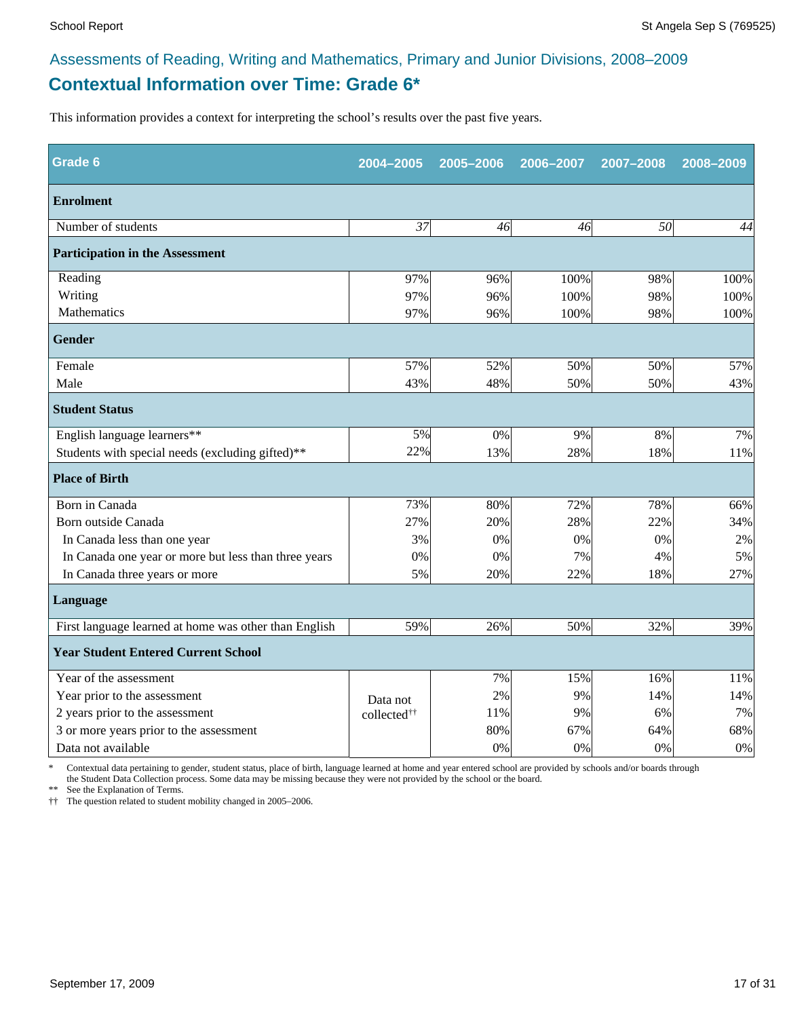#### **Contextual Information over Time: Grade 6\*** Assessments of Reading, Writing and Mathematics, Primary and Junior Divisions, 2008–2009

This information provides a context for interpreting the school's results over the past five years.

| Grade 6                                               | 2004-2005               | 2005-2006 | 2006-2007 | 2007-2008 | 2008-2009 |  |  |
|-------------------------------------------------------|-------------------------|-----------|-----------|-----------|-----------|--|--|
| <b>Enrolment</b>                                      |                         |           |           |           |           |  |  |
| Number of students                                    | 37                      | 46        | 46        | 50        | 44        |  |  |
| <b>Participation in the Assessment</b>                |                         |           |           |           |           |  |  |
| Reading                                               | 97%                     | 96%       | 100%      | 98%       | 100%      |  |  |
| Writing                                               | 97%                     | 96%       | 100%      | 98%       | 100%      |  |  |
| Mathematics                                           | 97%                     | 96%       | 100%      | 98%       | 100%      |  |  |
| <b>Gender</b>                                         |                         |           |           |           |           |  |  |
| Female                                                | 57%                     | 52%       | 50%       | 50%       | 57%       |  |  |
| Male                                                  | 43%                     | 48%       | 50%       | 50%       | 43%       |  |  |
| <b>Student Status</b>                                 |                         |           |           |           |           |  |  |
| English language learners**                           | 5%                      | 0%        | 9%        | 8%        | 7%        |  |  |
| Students with special needs (excluding gifted)**      | 22%                     | 13%       | 28%       | 18%       | 11%       |  |  |
| <b>Place of Birth</b>                                 |                         |           |           |           |           |  |  |
| Born in Canada                                        | 73%                     | 80%       | 72%       | 78%       | 66%       |  |  |
| Born outside Canada                                   | 27%                     | 20%       | 28%       | 22%       | 34%       |  |  |
| In Canada less than one year                          | 3%                      | 0%        | 0%        | 0%        | 2%        |  |  |
| In Canada one year or more but less than three years  | 0%                      | 0%        | 7%        | 4%        | 5%        |  |  |
| In Canada three years or more                         | 5%                      | 20%       | 22%       | 18%       | 27%       |  |  |
| Language                                              |                         |           |           |           |           |  |  |
| First language learned at home was other than English | 59%                     | 26%       | 50%       | 32%       | 39%       |  |  |
| <b>Year Student Entered Current School</b>            |                         |           |           |           |           |  |  |
| Year of the assessment                                |                         | 7%        | 15%       | 16%       | 11%       |  |  |
| Year prior to the assessment                          | Data not                | 2%        | 9%        | 14%       | 14%       |  |  |
| 2 years prior to the assessment                       | collected <sup>††</sup> | 11%       | 9%        | 6%        | 7%        |  |  |
| 3 or more years prior to the assessment               |                         | 80%       | 67%       | 64%       | 68%       |  |  |
| Data not available                                    |                         | 0%        | 0%        | 0%        | 0%        |  |  |

\* Contextual data pertaining to gender, student status, place of birth, language learned at home and year entered school are provided by schools and/or boards through the Student Data Collection process. Some data may be missing because they were not provided by the school or the board.

\*\* See the Explanation of Terms.

†† The question related to student mobility changed in 2005–2006.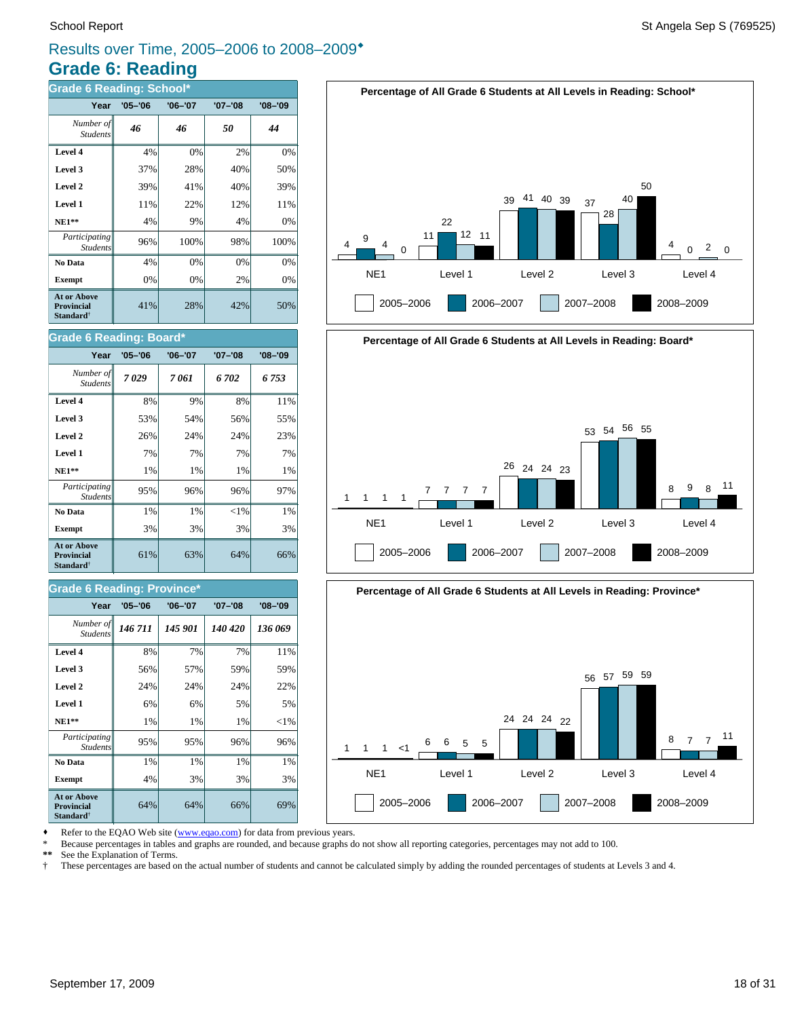#### **Grade 6: Reading** Results over Time, 2005–2006 to 2008–2009\*

| <b>Grade 6 Reading: School*</b>                                         |             |             |             |             |  |
|-------------------------------------------------------------------------|-------------|-------------|-------------|-------------|--|
| Year                                                                    | $'05 - '06$ | $'06 - '07$ | $'07 - '08$ | $'08 - '09$ |  |
| Number of<br><b>Students</b>                                            | 46          | 46          | 50          | 44          |  |
| Level 4                                                                 | 4%          | 0%          | 2%          | 0%          |  |
| Level 3                                                                 | 37%         | 28%         | 40%         | 50%         |  |
| Level 2                                                                 | 39%         | 41%         | 40%         | 39%         |  |
| Level 1                                                                 | 11%         | 22%         | 12%         | 11%         |  |
| $NE1**$                                                                 | 4%          | 9%          | 4%          | 0%          |  |
| Participating<br><b>Students</b>                                        | 96%         | 100%        | 98%         | 100%        |  |
| No Data                                                                 | 4%          | 0%          | 0%          | 0%          |  |
| <b>Exempt</b>                                                           | 0%          | 0%          | 2%          | 0%          |  |
| <b>At or Above</b><br><b>Provincial</b><br><b>Standard</b> <sup>†</sup> | 41%         | 28%         | 42%         | 50%         |  |

#### **Grade 6 Reading: Board\***

| Year                                                             | $'05 - '06$ | $'06 - '07$ | '07-'08  | $'08 - '09$ |
|------------------------------------------------------------------|-------------|-------------|----------|-------------|
| Number of<br><b>Students</b>                                     | 7029        | 7 061       | 6 702    | 6 753       |
| Level 4                                                          | 8%          | 9%          | 8%       | 11%         |
| Level 3                                                          | 53%         | 54%         | 56%      | 55%         |
| Level 2                                                          | 26%         | 24%         | 24%      | 23%         |
| Level 1                                                          | 7%          | 7%          | 7%       | 7%          |
| <b>NE1**</b>                                                     | 1%          | 1%          | 1%       | 1%          |
| Participating<br><b>Students</b>                                 | 95%         | 96%         | 96%      | 97%         |
| No Data                                                          | 1%          | $1\%$       | ${<}1\%$ | 1%          |
| <b>Exempt</b>                                                    | 3%          | 3%          | 3%       | 3%          |
| <b>At or Above</b><br><b>Provincial</b><br>Standard <sup>†</sup> | 61%         | 63%         | 64%      | 66%         |

#### **Grade 6 Reading: Province\***

| Year                                                                    | $'05 - '06$ | $'06 - '07$ | $'07 - '08$ | $'08 - '09$ |
|-------------------------------------------------------------------------|-------------|-------------|-------------|-------------|
| Number of<br><b>Students</b>                                            | 146 711     | 145 901     | 140 420     | 136 069     |
| Level 4                                                                 | 8%          | 7%          | 7%          | 11%         |
| Level 3                                                                 | 56%         | 57%         | 59%         | 59%         |
| Level 2                                                                 | 24%         | 24%         | 24%         | 22%         |
| Level 1                                                                 | 6%          | 6%          | 5%          | 5%          |
| $NE1**$                                                                 | 1%          | 1%          | 1%          | ${<}1\%$    |
| Participating<br><b>Students</b>                                        | 95%         | 95%         | 96%         | 96%         |
| No Data                                                                 | 1%          | 1%          | 1%          | 1%          |
| <b>Exempt</b>                                                           | 4%          | 3%          | 3%          | 3%          |
| <b>At or Above</b><br><b>Provincial</b><br><b>Standard</b> <sup>†</sup> | 64%         | 64%         | 66%         | 69%         |







Refer to the EQAO Web site (www.eqao.com) for data from previous years.

\* Because percentages in tables and graphs are rounded, and because graphs do not show all reporting categories, percentages may not add to 100.

**\*\*** See the Explanation of Terms.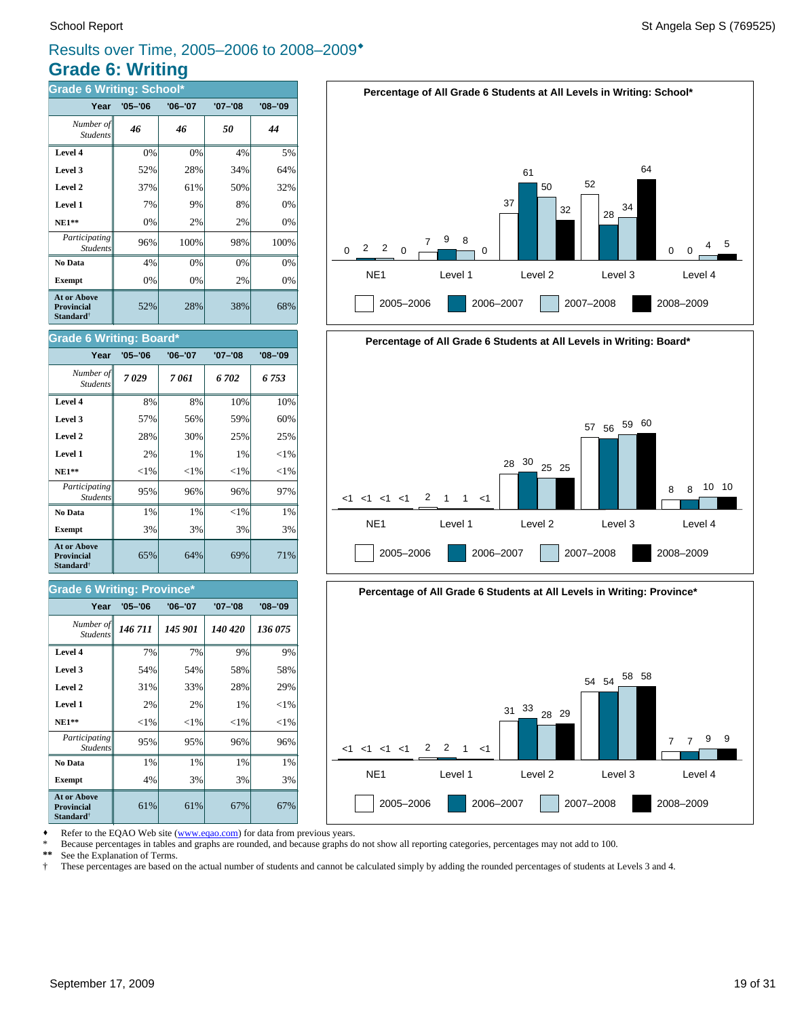#### **Grade 6: Writing** Results over Time, 2005–2006 to 2008–2009\*

| <b>Grade 6 Writing: School*</b>                                  |             |         |             |             |  |
|------------------------------------------------------------------|-------------|---------|-------------|-------------|--|
| Year                                                             | $'05 - '06$ | '06-'07 | $'07 - '08$ | $'08 - '09$ |  |
| Number of<br><b>Students</b>                                     | 46          | 46      | 50          | 44          |  |
| Level 4                                                          | 0%          | 0%      | 4%          | 5%          |  |
| Level 3                                                          | 52%         | 28%     | 34%         | 64%         |  |
| Level 2                                                          | 37%         | 61%     | 50%         | 32%         |  |
| Level 1                                                          | 7%          | 9%      | 8%          | 0%          |  |
| $NE1**$                                                          | 0%          | 2%      | 2%          | 0%          |  |
| Participating<br><b>Students</b>                                 | 96%         | 100%    | 98%         | 100%        |  |
| No Data                                                          | 4%          | 0%      | 0%          | 0%          |  |
| <b>Exempt</b>                                                    | 0%          | 0%      | 2%          | 0%          |  |
| At or Above<br><b>Provincial</b><br><b>Standard</b> <sup>†</sup> | 52%         | 28%     | 38%         | 68%         |  |

#### **Grade 6 Writing: Board\***

| Year                                                                    | $'05 - '06$ | $'06 - '07$ | '07-'08  | $'08 - '09$ |
|-------------------------------------------------------------------------|-------------|-------------|----------|-------------|
| Number of<br><b>Students</b>                                            | 7029        | 7 061       | 6702     | 6753        |
| Level 4                                                                 | 8%          | 8%          | 10%      | 10%         |
| Level 3                                                                 | 57%         | 56%         | 59%      | 60%         |
| Level 2                                                                 | 28%         | 30%         | 25%      | 25%         |
| Level 1                                                                 | 2%          | 1%          | 1%       | ${<}1\%$    |
| <b>NE1**</b>                                                            | ${<}1\%$    | ${<}1\%$    | ${<}1\%$ | ${<}1\%$    |
| Participating<br><b>Students</b>                                        | 95%         | 96%         | 96%      | 97%         |
| No Data                                                                 | 1%          | 1%          | ${<}1\%$ | 1%          |
| <b>Exempt</b>                                                           | 3%          | 3%          | 3%       | 3%          |
| <b>At or Above</b><br><b>Provincial</b><br><b>Standard</b> <sup>†</sup> | 65%         | 64%         | 69%      | 71%         |

#### **Grade 6 Writing: Province\***

| Year                                                                    | $'05 - '06$ | $'06 - '07$ | $'07 - '08$ | $'08 - '09$ |
|-------------------------------------------------------------------------|-------------|-------------|-------------|-------------|
| Number of<br><b>Students</b>                                            | 146 711     | 145 901     | 140 420     | 136 075     |
| Level 4                                                                 | 7%          | 7%          | 9%          | 9%          |
| Level 3                                                                 | 54%         | 54%         | 58%         | 58%         |
| Level 2                                                                 | 31%         | 33%         | 28%         | 29%         |
| Level 1                                                                 | 2%          | 2%          | 1%          | ${<}1\%$    |
| $NE1**$                                                                 | ${<}1\%$    | ${<}1\%$    | ${<}1\%$    | ${<}1\%$    |
| Participating<br><b>Students</b>                                        | 95%         | 95%         | 96%         | 96%         |
| No Data                                                                 | 1%          | 1%          | 1%          | 1%          |
| <b>Exempt</b>                                                           | 4%          | 3%          | 3%          | 3%          |
| <b>At or Above</b><br><b>Provincial</b><br><b>Standard</b> <sup>†</sup> | 61%         | 61%         | 67%         | 67%         |







Refer to the EQAO Web site (www.eqao.com) for data from previous years.

\* Because percentages in tables and graphs are rounded, and because graphs do not show all reporting categories, percentages may not add to 100.<br>\*\* See the Explanation of Terms

\*\* See the Explanation of Terms.<br><sup>†</sup> These percentages are based on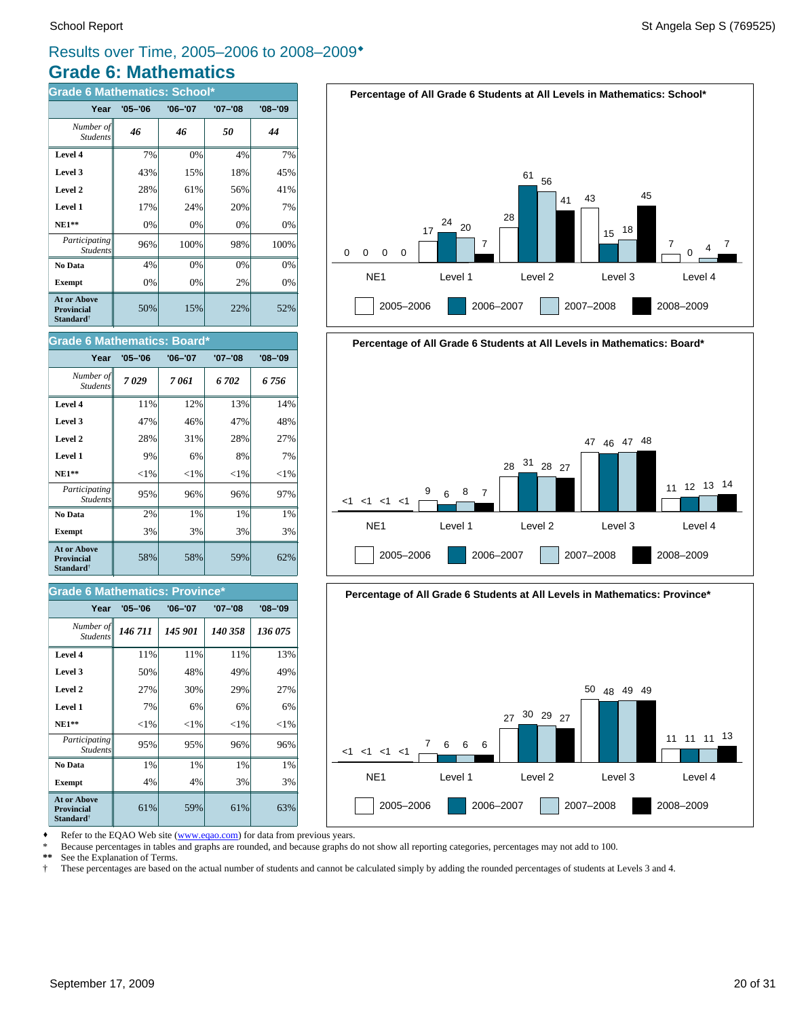#### **Grade 6: Mathematics** Results over Time, 2005–2006 to 2008–2009\*

| <b>Grade 6 Mathematics: School*</b>                                     |             |             |             |             |  |
|-------------------------------------------------------------------------|-------------|-------------|-------------|-------------|--|
| Year                                                                    | $'05 - '06$ | $'06 - '07$ | $'07 - '08$ | $'08 - '09$ |  |
| Number of<br><b>Students</b>                                            | 46          | 46          | 50          | 44          |  |
| Level 4                                                                 | 7%          | 0%          | 4%          | 7%          |  |
| Level 3                                                                 | 43%         | 15%         | 18%         | 45%         |  |
| Level 2                                                                 | 28%         | 61%         | 56%         | 41%         |  |
| Level 1                                                                 | 17%         | 24%         | 20%         | 7%          |  |
| $NE1**$                                                                 | 0%          | 0%          | 0%          | 0%          |  |
| Participating<br><b>Students</b>                                        | 96%         | 100%        | 98%         | 100%        |  |
| No Data                                                                 | 4%          | 0%          | 0%          | 0%          |  |
| <b>Exempt</b>                                                           | 0%          | 0%          | 2%          | 0%          |  |
| <b>At or Above</b><br><b>Provincial</b><br><b>Standard</b> <sup>†</sup> | 50%         | 15%         | 22%         | 52%         |  |





**Percentage of All Grade 6 Students at All Levels in Mathematics: Board\***



| Year                                                             | $'05 - '06$ | $'06 - '07$ | $'07 - '08$ | $'08 - '09$ |
|------------------------------------------------------------------|-------------|-------------|-------------|-------------|
| Number of<br><b>Students</b>                                     | 7029        | 7 061       | 6702        | 6 756       |
| Level 4                                                          | 11%         | 12%         | 13%         | 14%         |
| Level 3                                                          | 47%         | 46%         | 47%         | 48%         |
| Level 2                                                          | 28%         | 31%         | 28%         | 27%         |
| Level 1                                                          | 9%          | 6%          | 8%          | 7%          |
| <b>NE1**</b>                                                     | ${<}1\%$    | ${<}1\%$    | ${<}1\%$    | ${<}1\%$    |
| Participating<br><b>Students</b>                                 | 95%         | 96%         | 96%         | 97%         |
| No Data                                                          | 2%          | $1\%$       | 1%          | 1%          |
| <b>Exempt</b>                                                    | 3%          | 3%          | 3%          | 3%          |
| At or Above<br><b>Provincial</b><br><b>Standard</b> <sup>†</sup> | 58%         | 58%         | 59%         | 62%         |

#### **Grade 6 Mathematics: Province\***

| Year                                                             | $'05 - '06$ | $'06 - '07$ | $'07 - '08$ | $'08 - '09$ |
|------------------------------------------------------------------|-------------|-------------|-------------|-------------|
| Number of<br><b>Students</b>                                     | 146 711     | 145 901     | 140 358     | 136 075     |
| Level 4                                                          | 11%         | 11%         | 11%         | 13%         |
| Level 3                                                          | 50%         | 48%         | 49%         | 49%         |
| Level 2                                                          | 27%         | 30%         | 29%         | 27%         |
| Level 1                                                          | 7%          | 6%          | 6%          | 6%          |
| $NE1**$                                                          | ${<}1\%$    | ${<}1\%$    | ${<}1\%$    | ${<}1\%$    |
| Participating<br><b>Students</b>                                 | 95%         | 95%         | 96%         | 96%         |
| No Data                                                          | 1%          | 1%          | 1%          | 1%          |
| <b>Exempt</b>                                                    | 4%          | 4%          | 3%          | 3%          |
| At or Above<br><b>Provincial</b><br><b>Standard</b> <sup>†</sup> | 61%         | 59%         | 61%         | 63%         |





Refer to the EQAO Web site (www.eqao.com) for data from previous years.

\* Because percentages in tables and graphs are rounded, and because graphs do not show all reporting categories, percentages may not add to 100.

**\*\*** See the Explanation of Terms.

† These percentages are based on the actual number of students and cannot be calculated simply by adding the rounded percentages of students at Levels 3 and 4.

0

0 0 0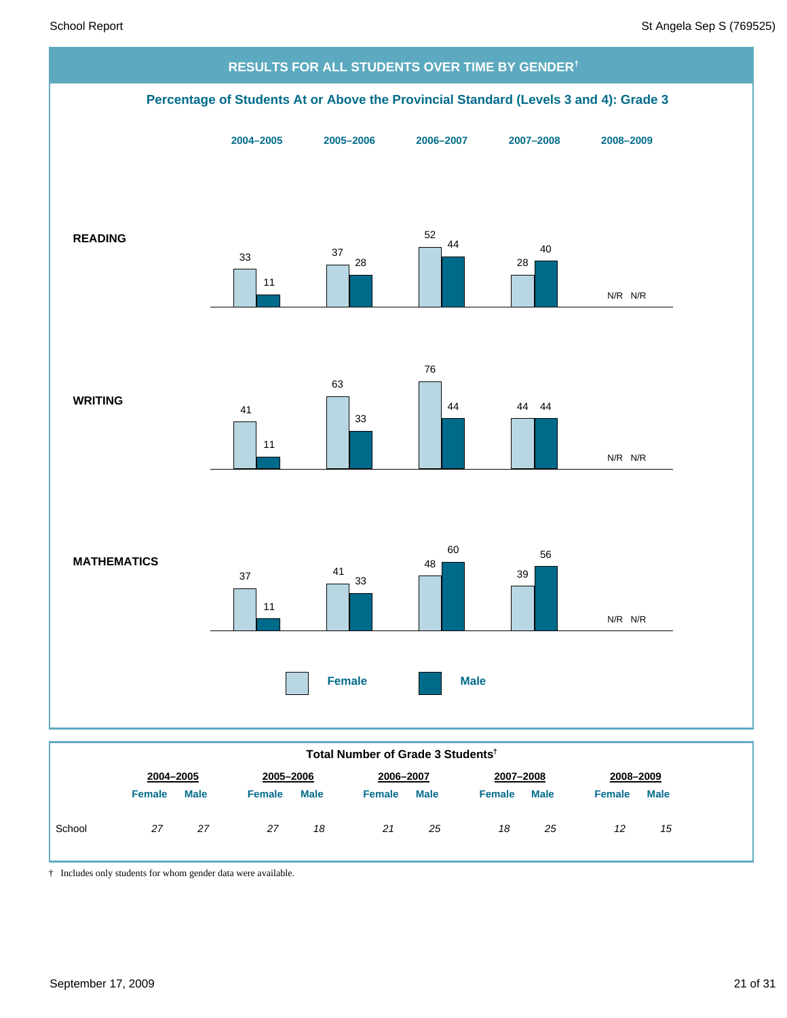

|        | Total Number of Grade 3 Students <sup>†</sup> |             |               |             |               |             |               |             |               |             |  |  |
|--------|-----------------------------------------------|-------------|---------------|-------------|---------------|-------------|---------------|-------------|---------------|-------------|--|--|
|        | 2004-2005                                     |             | 2005-2006     |             | 2006-2007     |             | 2007-2008     |             |               | 2008-2009   |  |  |
|        | <b>Female</b>                                 | <b>Male</b> | <b>Female</b> | <b>Male</b> | <b>Female</b> | <b>Male</b> | <b>Female</b> | <b>Male</b> | <b>Female</b> | <b>Male</b> |  |  |
| School | 27                                            | 27          | 27            | 18          |               | 25          | 18            | 25          | 12            | 15          |  |  |

† Includes only students for whom gender data were available.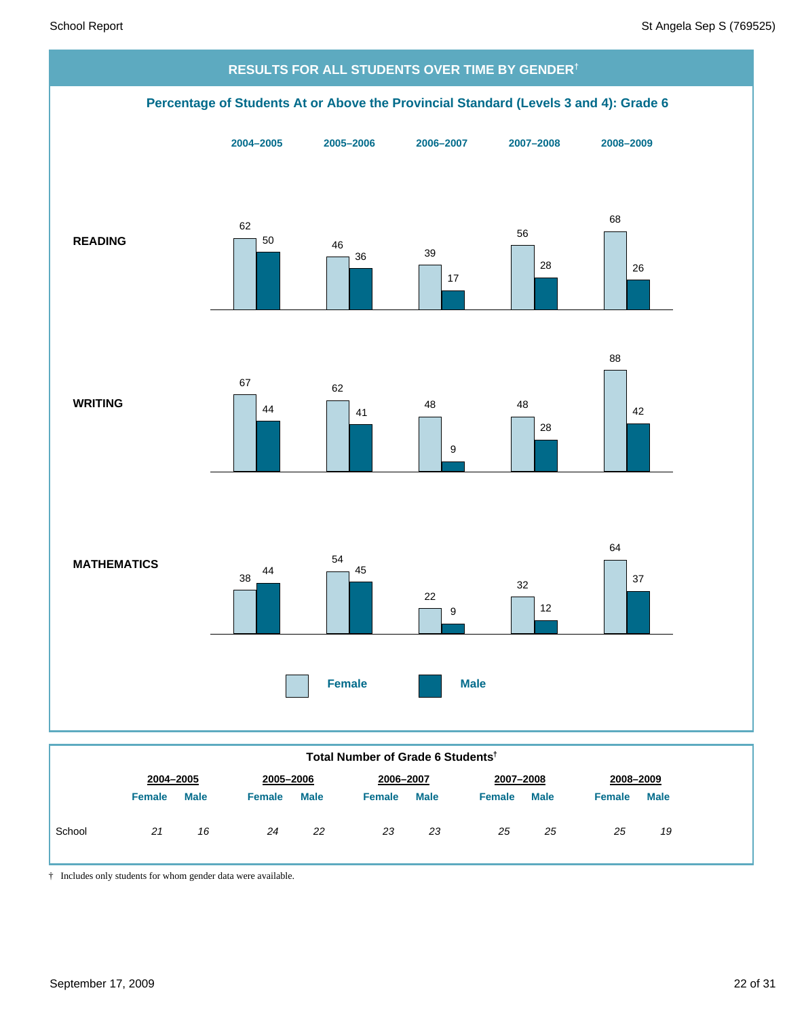

**Total Number of Grade 6 Students†**

|        | 2004-2005     |             | 2005-2006     |             | 2006-2007     |             |        | 2007-2008   |               | 2008-2009   |  |  |
|--------|---------------|-------------|---------------|-------------|---------------|-------------|--------|-------------|---------------|-------------|--|--|
|        | <b>Female</b> | <b>Male</b> | <b>Female</b> | <b>Male</b> | <b>Female</b> | <b>Male</b> | Female | <b>Male</b> | <b>Female</b> | <b>Male</b> |  |  |
| School | 21            | 16          | 24            | 22          | 23            | 23          | 25     | 25          | 25            | 19          |  |  |

† Includes only students for whom gender data were available.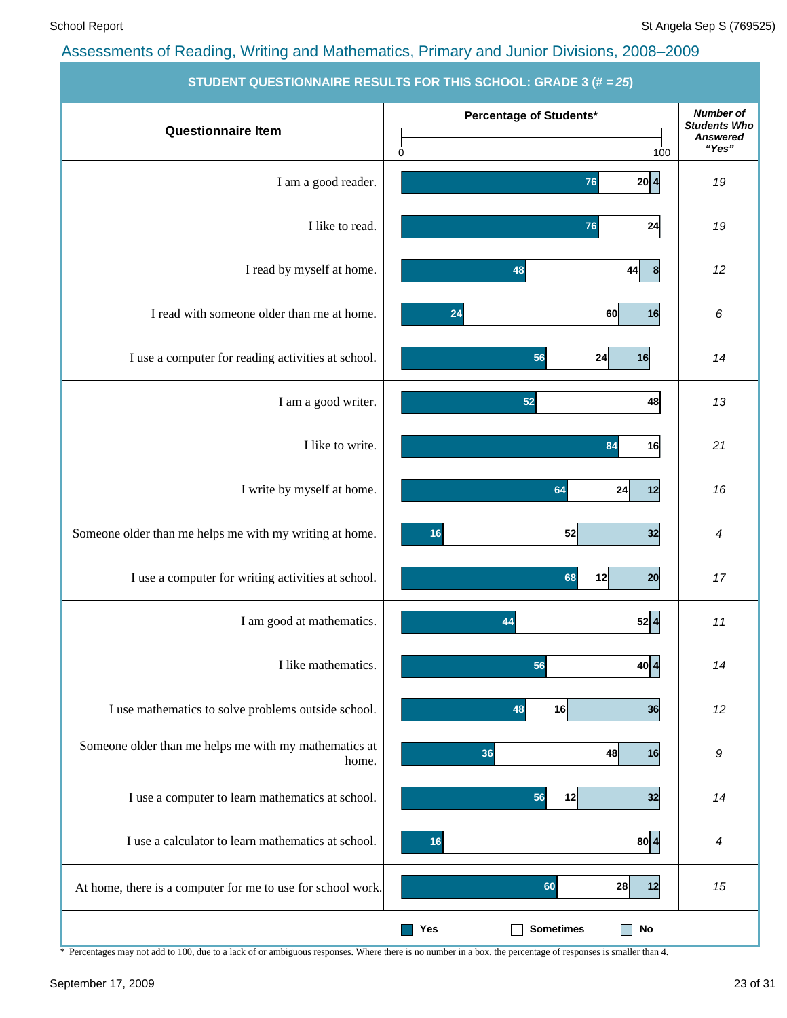|                                                                | <b>STUDENT QUESTIONNAIRE RESULTS FOR THIS SCHOOL: GRADE 3 (# = 25)</b> |                                                                     |
|----------------------------------------------------------------|------------------------------------------------------------------------|---------------------------------------------------------------------|
| <b>Questionnaire Item</b>                                      | Percentage of Students*<br>$\mathbf 0$<br>100                          | <b>Number of</b><br><b>Students Who</b><br><b>Answered</b><br>"Yes" |
| I am a good reader.                                            | 20 4 <br>76                                                            | 19                                                                  |
| I like to read.                                                | 24<br>76                                                               | 19                                                                  |
| I read by myself at home.                                      | 48<br>44<br>8                                                          | 12                                                                  |
| I read with someone older than me at home.                     | 16<br>24<br>60                                                         | 6                                                                   |
| I use a computer for reading activities at school.             | 56<br>24<br>16                                                         | 14                                                                  |
| I am a good writer.                                            | 48<br>52                                                               | 13                                                                  |
| I like to write.                                               | 84<br>16                                                               | 21                                                                  |
| I write by myself at home.                                     | 64<br>24<br>12                                                         | 16                                                                  |
| Someone older than me helps me with my writing at home.        | 32<br>52<br>16                                                         | 4                                                                   |
| I use a computer for writing activities at school.             | 68<br>12<br>20                                                         | 17                                                                  |
| I am good at mathematics.                                      | 52 4 <br>44                                                            | 11                                                                  |
| I like mathematics.                                            | 40 4 <br>56                                                            | 14                                                                  |
| I use mathematics to solve problems outside school.            | 16<br>48<br>36                                                         | 12                                                                  |
| Someone older than me helps me with my mathematics at<br>home. | 36<br>48<br>16                                                         | 9                                                                   |
| I use a computer to learn mathematics at school.               | 32<br>56<br>12                                                         | 14                                                                  |
| I use a calculator to learn mathematics at school.             | 80 4<br>16                                                             | $\boldsymbol{4}$                                                    |
| At home, there is a computer for me to use for school work.    | 60<br>28<br>12                                                         | 15                                                                  |
|                                                                | <b>Sometimes</b><br>Yes<br>No<br>$\mathcal{L}$                         |                                                                     |

\* Percentages may not add to 100, due to a lack of or ambiguous responses. Where there is no number in a box, the percentage of responses is smaller than 4.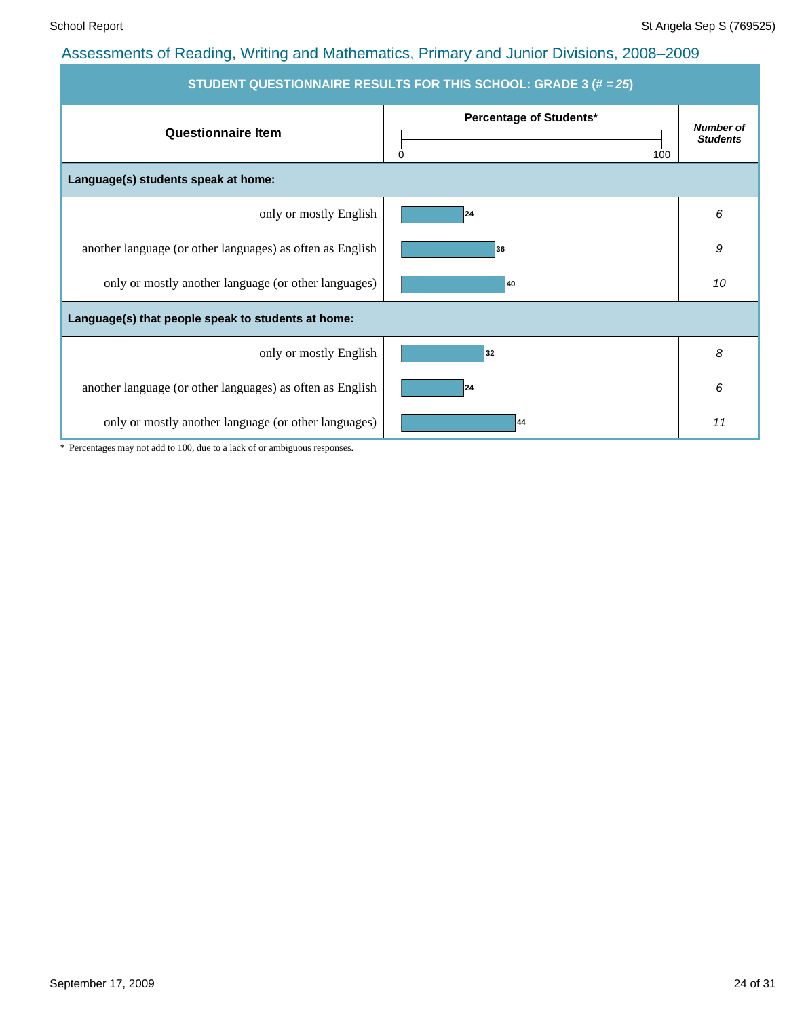| STUDENT QUESTIONNAIRE RESULTS FOR THIS SCHOOL: GRADE 3 (# = 25) |                                     |                                     |  |  |  |  |  |  |  |
|-----------------------------------------------------------------|-------------------------------------|-------------------------------------|--|--|--|--|--|--|--|
| <b>Questionnaire Item</b>                                       | Percentage of Students*<br>100<br>0 | <b>Number of</b><br><b>Students</b> |  |  |  |  |  |  |  |
| Language(s) students speak at home:                             |                                     |                                     |  |  |  |  |  |  |  |
| only or mostly English                                          | 24                                  | 6                                   |  |  |  |  |  |  |  |
| another language (or other languages) as often as English       | 36                                  | 9                                   |  |  |  |  |  |  |  |
| only or mostly another language (or other languages)            | 40                                  | 10                                  |  |  |  |  |  |  |  |
| Language(s) that people speak to students at home:              |                                     |                                     |  |  |  |  |  |  |  |
| only or mostly English                                          | 32                                  | 8                                   |  |  |  |  |  |  |  |
| another language (or other languages) as often as English       | 24                                  | 6                                   |  |  |  |  |  |  |  |
| only or mostly another language (or other languages)            | 44                                  | 11                                  |  |  |  |  |  |  |  |

\* Percentages may not add to 100, due to a lack of or ambiguous responses.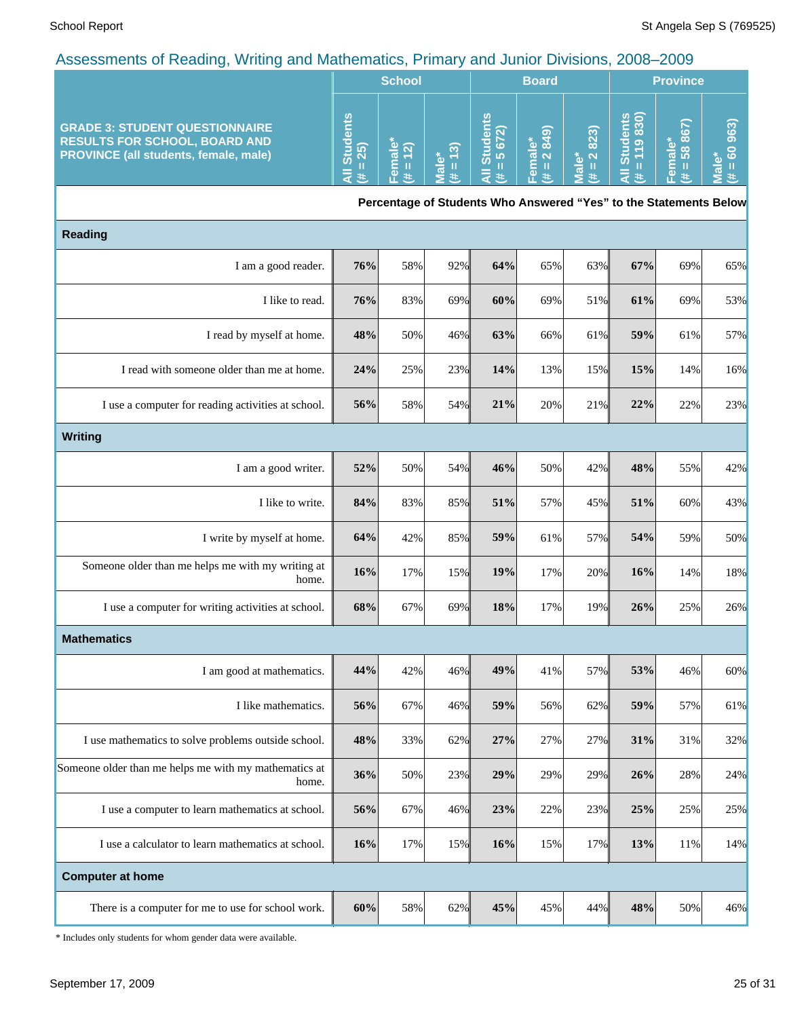|                                                                                                                               | <b>School</b>                                                       |                  |                                          | <b>Board</b>                                                   |                                                        |                            | <b>Province</b> |                     |    |
|-------------------------------------------------------------------------------------------------------------------------------|---------------------------------------------------------------------|------------------|------------------------------------------|----------------------------------------------------------------|--------------------------------------------------------|----------------------------|-----------------|---------------------|----|
| <b>GRADE 3: STUDENT QUESTIONNAIRE</b><br><b>RESULTS FOR SCHOOL, BOARD AND</b><br><b>PROVINCE (all students, female, male)</b> | ပ္<br>$\overline{\omega}$<br>ъ<br><u>uis</u><br><b>LO</b><br>$\sim$ | <u> ୯ ମ</u><br>ത | <u>ଚ</u><br>œ<br>$\overline{\mathbf{c}}$ | ℒ<br>ລ<br>$\overline{\mathbf{a}}$<br>łò<br>о<br>あ<br><b>LO</b> | ଲ<br>$\omega$ $\infty$<br>$\overline{a}$ $\alpha$<br>Φ | 823)<br>$\sim$<br>$\sigma$ | F               | ശ<br>ထဲ<br>$\infty$ | tΘ |

**Percentage of Students Who Answered "Yes" to the Statements Below**

| <b>Reading</b>                                                 |     |     |     |     |     |     |     |     |     |  |
|----------------------------------------------------------------|-----|-----|-----|-----|-----|-----|-----|-----|-----|--|
| I am a good reader.                                            | 76% | 58% | 92% | 64% | 65% | 63% | 67% | 69% | 65% |  |
| I like to read.                                                | 76% | 83% | 69% | 60% | 69% | 51% | 61% | 69% | 53% |  |
| I read by myself at home.                                      | 48% | 50% | 46% | 63% | 66% | 61% | 59% | 61% | 57% |  |
| I read with someone older than me at home.                     | 24% | 25% | 23% | 14% | 13% | 15% | 15% | 14% | 16% |  |
| I use a computer for reading activities at school.             | 56% | 58% | 54% | 21% | 20% | 21% | 22% | 22% | 23% |  |
| <b>Writing</b>                                                 |     |     |     |     |     |     |     |     |     |  |
| I am a good writer.                                            | 52% | 50% | 54% | 46% | 50% | 42% | 48% | 55% | 42% |  |
| I like to write.                                               | 84% | 83% | 85% | 51% | 57% | 45% | 51% | 60% | 43% |  |
| I write by myself at home.                                     | 64% | 42% | 85% | 59% | 61% | 57% | 54% | 59% | 50% |  |
| Someone older than me helps me with my writing at<br>home.     | 16% | 17% | 15% | 19% | 17% | 20% | 16% | 14% | 18% |  |
| I use a computer for writing activities at school.             | 68% | 67% | 69% | 18% | 17% | 19% | 26% | 25% | 26% |  |
| <b>Mathematics</b>                                             |     |     |     |     |     |     |     |     |     |  |
| I am good at mathematics.                                      | 44% | 42% | 46% | 49% | 41% | 57% | 53% | 46% | 60% |  |
| I like mathematics.                                            | 56% | 67% | 46% | 59% | 56% | 62% | 59% | 57% | 61% |  |
| I use mathematics to solve problems outside school.            | 48% | 33% | 62% | 27% | 27% | 27% | 31% | 31% | 32% |  |
| Someone older than me helps me with my mathematics at<br>home. | 36% | 50% | 23% | 29% | 29% | 29% | 26% | 28% | 24% |  |
| I use a computer to learn mathematics at school.               | 56% | 67% | 46% | 23% | 22% | 23% | 25% | 25% | 25% |  |
| I use a calculator to learn mathematics at school.             | 16% | 17% | 15% | 16% | 15% | 17% | 13% | 11% | 14% |  |
| <b>Computer at home</b>                                        |     |     |     |     |     |     |     |     |     |  |
| There is a computer for me to use for school work.             | 60% | 58% | 62% | 45% | 45% | 44% | 48% | 50% | 46% |  |

\* Includes only students for whom gender data were available.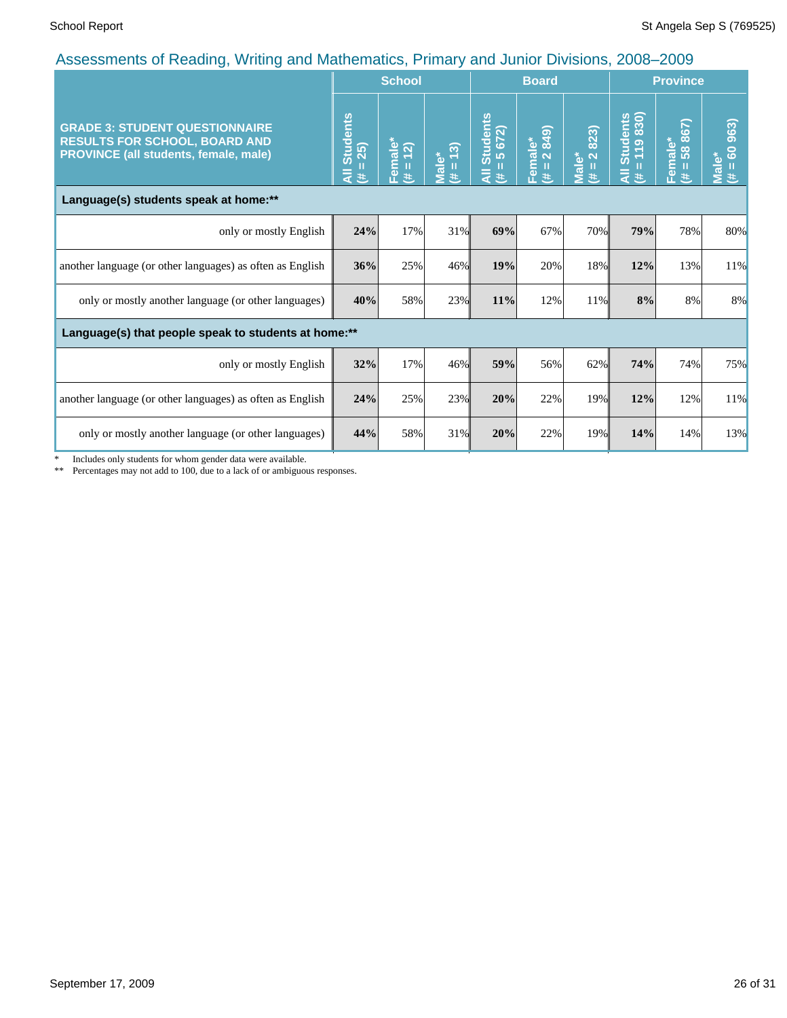| $\mu$ too control to be requiring, eviding and mathematics, it minds y and cannot Divisions, 2000 2000                        |                                         | <b>School</b>       |                      |                                                      | <b>Board</b>           |                                                     |                                   | <b>Province</b>                   |                            |
|-------------------------------------------------------------------------------------------------------------------------------|-----------------------------------------|---------------------|----------------------|------------------------------------------------------|------------------------|-----------------------------------------------------|-----------------------------------|-----------------------------------|----------------------------|
| <b>GRADE 3: STUDENT QUESTIONNAIRE</b><br><b>RESULTS FOR SCHOOL, BOARD AND</b><br><b>PROVINCE (all students, female, male)</b> | <b>Students</b><br>25)<br>ĨÌ,<br>₹<br>巷 | Female*<br>(# = 12) | $= 13$<br>Male*<br>违 | <b>Students</b><br>672)<br>10<br>П<br>$\bar{a}$<br>共 | Female*<br>(# = 2 849) | 2823)<br>Male <sup>*</sup><br>$\mathbf H$<br>$\ast$ | Students<br>= 119 830)<br>П<br>ミミ | iale*<br>58 867)<br>Eem<br>Ш<br># | 60 963)<br>Male*<br>Ш<br>违 |
| Language(s) students speak at home:**                                                                                         |                                         |                     |                      |                                                      |                        |                                                     |                                   |                                   |                            |
| only or mostly English                                                                                                        | 24%                                     | 17%                 | 31%                  | 69%                                                  | 67%                    | 70%                                                 | 79%                               | 78%                               | 80%                        |
| another language (or other languages) as often as English                                                                     | 36%                                     | 25%                 | 46%                  | 19%                                                  | 20%                    | 18%                                                 | 12%                               | 13%                               | 11%                        |
| only or mostly another language (or other languages)                                                                          | 40%                                     | 58%                 | 23%                  | 11%                                                  | 12%                    | 11%                                                 | 8%                                | 8%                                | 8%                         |
| Language(s) that people speak to students at home:**                                                                          |                                         |                     |                      |                                                      |                        |                                                     |                                   |                                   |                            |
| only or mostly English                                                                                                        | 32%                                     | 17%                 | 46%                  | 59%                                                  | 56%                    | 62%                                                 | 74%                               | 74%                               | 75%                        |
| another language (or other languages) as often as English                                                                     | 24%                                     | 25%                 | 23%                  | 20%                                                  | 22%                    | 19%                                                 | 12%                               | 12%                               | 11%                        |
| only or mostly another language (or other languages)                                                                          | 44%                                     | 58%                 | 31%                  | 20%                                                  | 22%                    | 19%                                                 | 14%                               | 14%                               | 13%                        |

\* Includes only students for whom gender data were available.

\*\* Percentages may not add to 100, due to a lack of or ambiguous responses.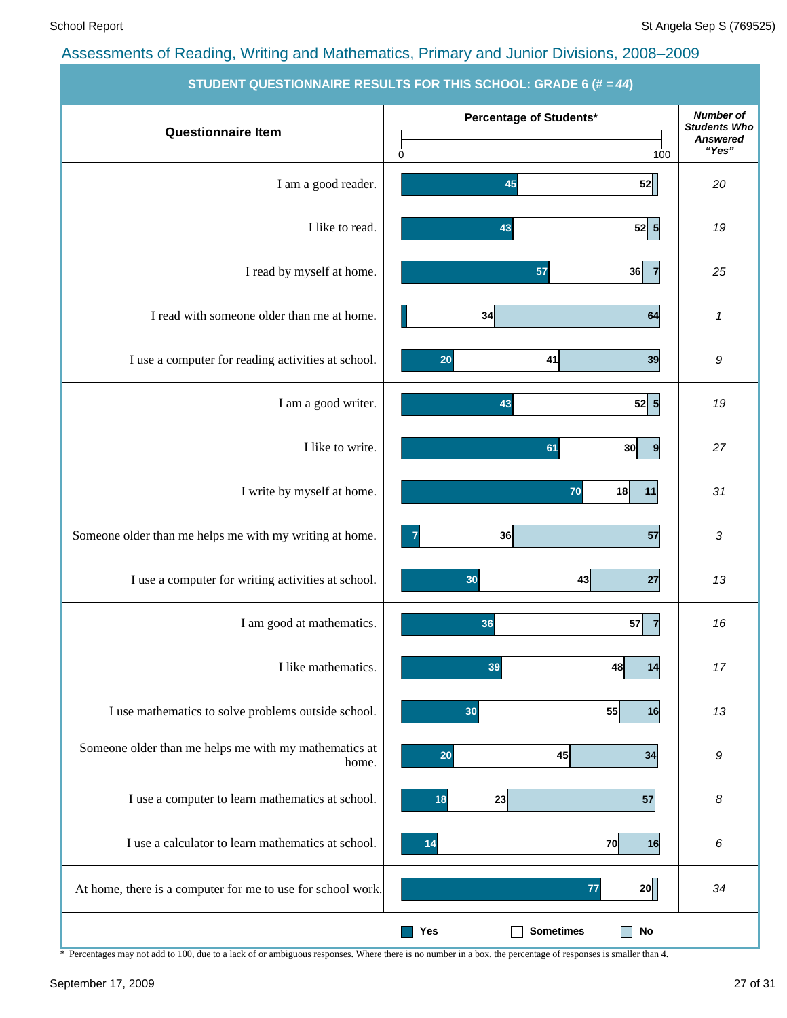|                                                                | $\frac{1}{2}$ . The contraction of the contract of the control of $\frac{1}{2}$ and $\frac{1}{2}$ |                                         |
|----------------------------------------------------------------|---------------------------------------------------------------------------------------------------|-----------------------------------------|
| <b>Questionnaire Item</b>                                      | Percentage of Students*                                                                           | <b>Number of</b><br><b>Students Who</b> |
|                                                                | $\mathbf 0$<br>100                                                                                | <b>Answered</b><br>"Yes"                |
| I am a good reader.                                            | 52<br>45                                                                                          | 20                                      |
| I like to read.                                                | 52 5<br>43                                                                                        | 19                                      |
| I read by myself at home.                                      | 57<br>36<br>$\overline{7}$                                                                        | 25                                      |
| I read with someone older than me at home.                     | 34<br>64                                                                                          | $\pmb{\mathcal{I}}$                     |
| I use a computer for reading activities at school.             | 39<br>41<br>20                                                                                    | 9                                       |
| I am a good writer.                                            | 52 5<br>43                                                                                        | 19                                      |
| I like to write.                                               | 30<br>61<br>$\boldsymbol{9}$                                                                      | 27                                      |
| I write by myself at home.                                     | 18<br>70<br>11                                                                                    | 31                                      |
| Someone older than me helps me with my writing at home.        | 57<br>36                                                                                          | 3                                       |
| I use a computer for writing activities at school.             | 43<br>27<br>30                                                                                    | 13                                      |
| I am good at mathematics.                                      | 36<br>57<br>$\overline{7}$                                                                        | 16                                      |
| I like mathematics.                                            | 39<br>48<br>14                                                                                    | 17                                      |
| I use mathematics to solve problems outside school.            | 55<br>30<br>16                                                                                    | 13                                      |
| Someone older than me helps me with my mathematics at<br>home. | 45<br>20<br>34                                                                                    | 9                                       |
| I use a computer to learn mathematics at school.               | 23<br>57<br>18                                                                                    | 8                                       |
| I use a calculator to learn mathematics at school.             | 70<br>16<br>14                                                                                    | 6                                       |
| At home, there is a computer for me to use for school work.    | 77<br>20                                                                                          | 34                                      |
|                                                                | <b>Sometimes</b><br><b>No</b><br>Yes                                                              |                                         |

**STUDENT QUESTIONNAIRE RESULTS FOR THIS SCHOOL: GRADE** 

\* Percentages may not add to 100, due to a lack of or ambiguous responses. Where there is no number in a box, the percentage of responses is smaller than 4.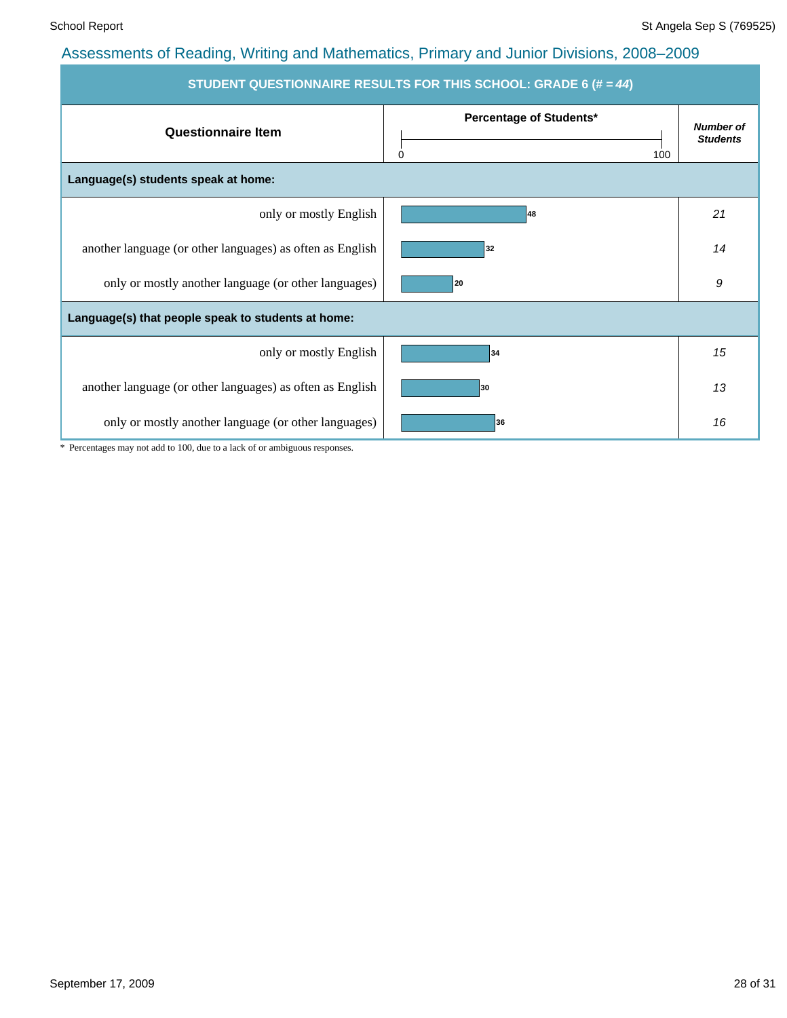| STUDENT QUESTIONNAIRE RESULTS FOR THIS SCHOOL: GRADE 6 (# = 44) |                                     |                                     |  |  |  |  |  |  |  |  |
|-----------------------------------------------------------------|-------------------------------------|-------------------------------------|--|--|--|--|--|--|--|--|
| <b>Questionnaire Item</b>                                       | Percentage of Students*<br>100<br>0 | <b>Number of</b><br><b>Students</b> |  |  |  |  |  |  |  |  |
| Language(s) students speak at home:                             |                                     |                                     |  |  |  |  |  |  |  |  |
| only or mostly English                                          | 48                                  | 21                                  |  |  |  |  |  |  |  |  |
| another language (or other languages) as often as English       | 32                                  | 14                                  |  |  |  |  |  |  |  |  |
| only or mostly another language (or other languages)            | 20                                  | 9                                   |  |  |  |  |  |  |  |  |
| Language(s) that people speak to students at home:              |                                     |                                     |  |  |  |  |  |  |  |  |
| only or mostly English                                          | 34                                  | 15                                  |  |  |  |  |  |  |  |  |
| another language (or other languages) as often as English       | 30                                  | 13                                  |  |  |  |  |  |  |  |  |
| only or mostly another language (or other languages)            | 36                                  | 16                                  |  |  |  |  |  |  |  |  |

\* Percentages may not add to 100, due to a lack of or ambiguous responses.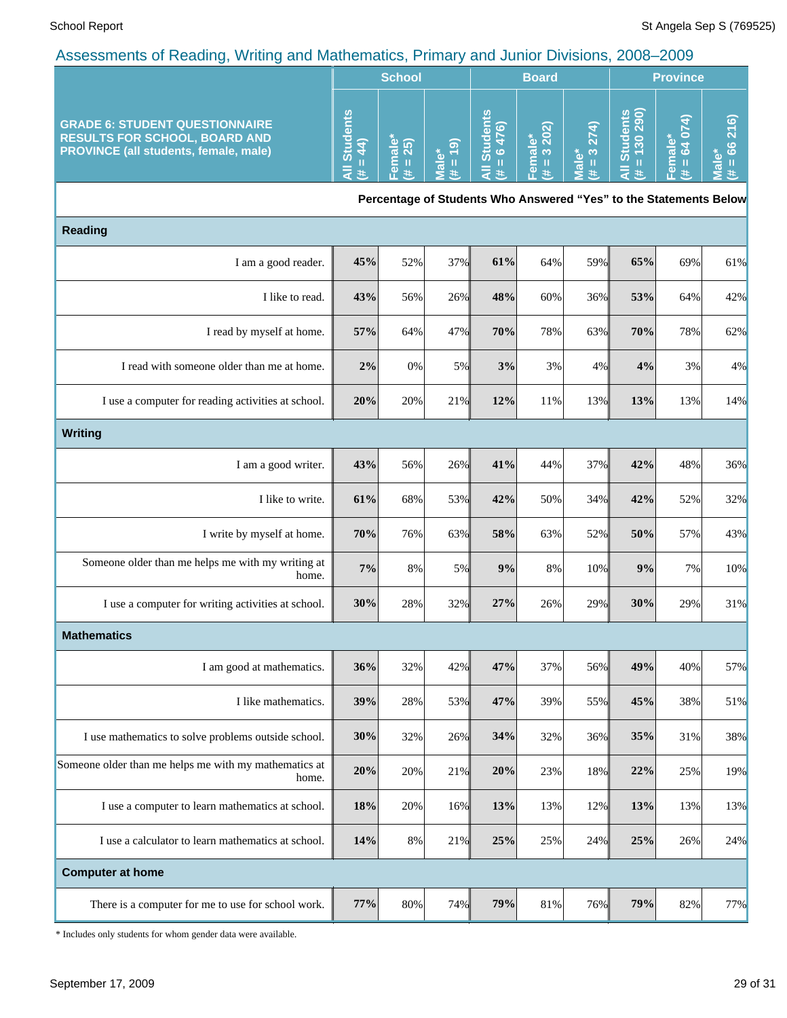|                                                                                                                               |                             | <b>School</b>         |                      |                                                                   | <b>Board</b>                      |                        | <b>Province</b>              |                                         |                                                     |
|-------------------------------------------------------------------------------------------------------------------------------|-----------------------------|-----------------------|----------------------|-------------------------------------------------------------------|-----------------------------------|------------------------|------------------------------|-----------------------------------------|-----------------------------------------------------|
| <b>GRADE 6: STUDENT QUESTIONNAIRE</b><br><b>RESULTS FOR SCHOOL, BOARD AND</b><br><b>PROVINCE (all students, female, male)</b> | All Students<br>$= 44$<br>进 | Female<br>$= 25$<br>主 | $= 19$<br>Male*<br>共 | <b>All Students</b><br>$= 6476$<br>共                              | 202)<br>Female*<br>(# = 3 20 $\,$ | $= 3274$<br>Male*<br>共 | All Students<br># = 130 290) | 64 074)<br>Female*<br>$\mathbf{u}$<br>违 | $\overline{216}$<br>$= 66$<br><u>ّه</u><br>īεΜ<br>进 |
|                                                                                                                               |                             |                       |                      | Percentage of Students Who Answered "Yes" to the Statements Below |                                   |                        |                              |                                         |                                                     |
| <b>Reading</b>                                                                                                                |                             |                       |                      |                                                                   |                                   |                        |                              |                                         |                                                     |
| I am a good reader.                                                                                                           | 45%                         | 52%                   | 37%                  | 61%                                                               | 64%                               | 59%                    | 65%                          | 69%                                     | 61%                                                 |
| I like to read.                                                                                                               | 43%                         | 56%                   | 26%                  | 48%                                                               | 60%                               | 36%                    | 53%                          | 64%                                     | 42%                                                 |
| I read by myself at home.                                                                                                     | 57%                         | 64%                   | 47%                  | 70%                                                               | 78%                               | 63%                    | 70%                          | 78%                                     | 62%                                                 |
| I read with someone older than me at home.                                                                                    | $2\%$                       | 0%                    | 5%                   | 3%                                                                | 3%                                | 4%                     | 4%                           | 3%                                      | 4%                                                  |
| I use a computer for reading activities at school.                                                                            | 20%                         | 20%                   | 21%                  | 12%                                                               | 11%                               | 13%                    | 13%                          | 13%                                     | 14%                                                 |
| <b>Writing</b>                                                                                                                |                             |                       |                      |                                                                   |                                   |                        |                              |                                         |                                                     |
| I am a good writer.                                                                                                           | 43%                         | 56%                   | 26%                  | 41%                                                               | 44%                               | 37%                    | 42%                          | 48%                                     | 36%                                                 |
| I like to write.                                                                                                              | 61%                         | 68%                   | 53%                  | 42%                                                               | 50%                               | 34%                    | 42%                          | 52%                                     | 32%                                                 |
| I write by myself at home.                                                                                                    | 70%                         | 76%                   | 63%                  | 58%                                                               | 63%                               | 52%                    | $50\%$                       | 57%                                     | 43%                                                 |
| Someone older than me helps me with my writing at<br>home.                                                                    | 7%                          | 8%                    | 5%                   | 9%                                                                | 8%                                | 10%                    | 9%                           | 7%                                      | 10%                                                 |
| I use a computer for writing activities at school.                                                                            | 30%                         | 28%                   | 32%                  | 27%                                                               | 26%                               | 29%                    | 30%                          | 29%                                     | 31%                                                 |
| <b>Mathematics</b>                                                                                                            |                             |                       |                      |                                                                   |                                   |                        |                              |                                         |                                                     |
| I am good at mathematics.                                                                                                     | 36%                         | 32%                   | 42%                  | 47%                                                               | 37%                               | 56%                    | 49%                          | 40%                                     | 57%                                                 |
| I like mathematics.                                                                                                           | 39%                         | 28%                   | 53%                  | 47%                                                               | 39%                               | 55%                    | 45%                          | 38%                                     | 51%                                                 |
| I use mathematics to solve problems outside school.                                                                           | 30%                         | 32%                   | 26%                  | 34%                                                               | 32%                               | 36%                    | 35%                          | 31%                                     | 38%                                                 |
| Someone older than me helps me with my mathematics at<br>home.                                                                | 20%                         | 20%                   | 21%                  | 20%                                                               | 23%                               | 18%                    | 22%                          | 25%                                     | 19%                                                 |
| I use a computer to learn mathematics at school.                                                                              | 18%                         | 20%                   | 16%                  | 13%                                                               | 13%                               | 12%                    | 13%                          | 13%                                     | 13%                                                 |
| I use a calculator to learn mathematics at school.                                                                            | 14%                         | 8%                    | 21%                  | 25%                                                               | 25%                               | 24%                    | 25%                          | 26%                                     | 24%                                                 |
| <b>Computer at home</b>                                                                                                       |                             |                       |                      |                                                                   |                                   |                        |                              |                                         |                                                     |
| There is a computer for me to use for school work.                                                                            | 77%                         | $80\%$                | 74%                  | 79%                                                               | $81\%$                            | 76%                    | 79%                          | 82%                                     | 77%                                                 |

\* Includes only students for whom gender data were available.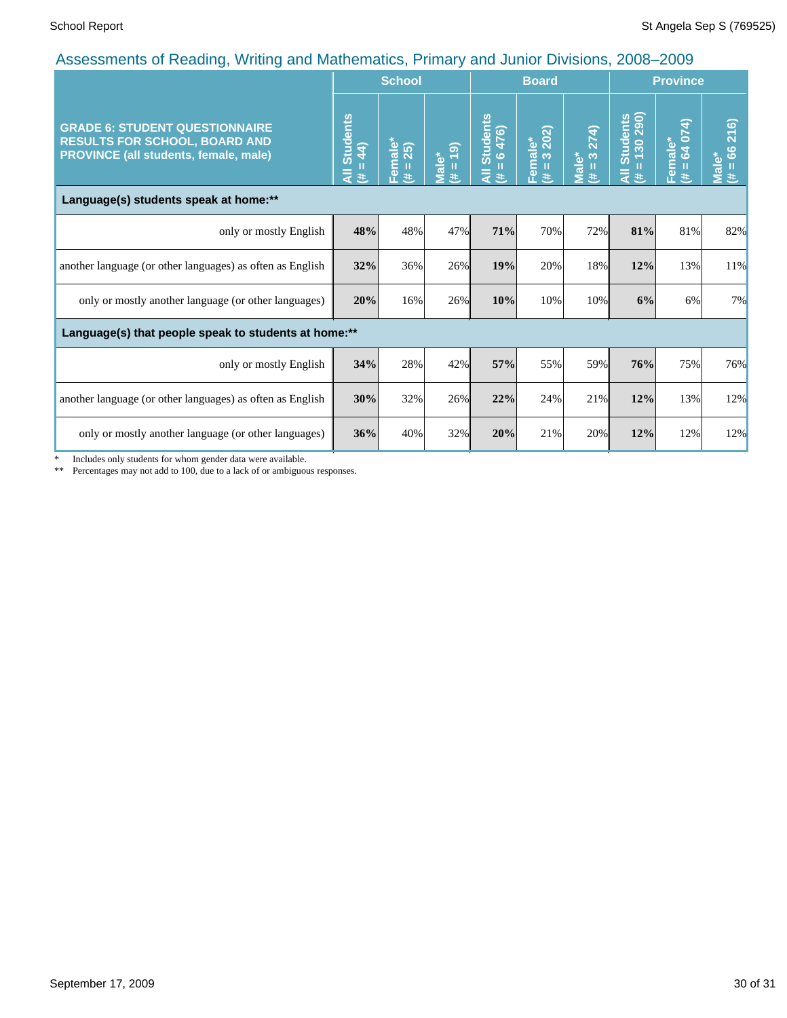|                                                                                                                        |                                     | <b>School</b>                  |                                  |                                               | <b>Board</b>               |                                      |                                               | <b>Province</b>                 |                                           |
|------------------------------------------------------------------------------------------------------------------------|-------------------------------------|--------------------------------|----------------------------------|-----------------------------------------------|----------------------------|--------------------------------------|-----------------------------------------------|---------------------------------|-------------------------------------------|
| <b>GRADE 6: STUDENT QUESTIONNAIRE</b><br><b>RESULTS FOR SCHOOL, BOARD AND</b><br>PROVINCE (all students, female, male) | <b>Students</b><br>$= 44$<br>₹<br>进 | Female $\text{``}$<br>(# = 25) | $= 19$<br>Male <sup>*</sup><br>共 | Students<br>= $6476$ )<br>п<br>$\bar{a}$<br>进 | Female*<br>$(\# = 3, 202)$ | 3 274)<br>Male*<br>$\mathbf{H}$<br>巷 | Students<br>= 130 290)<br>Ш<br>$\bar{a}$<br>进 | 64 074)<br>male*<br>Ш<br>岡<br>共 | 216)<br>66<br>Male <sup>*</sup><br>Ш<br>违 |
| Language(s) students speak at home:**                                                                                  |                                     |                                |                                  |                                               |                            |                                      |                                               |                                 |                                           |
| only or mostly English                                                                                                 | 48%                                 | 48%                            | 47%                              | 71%                                           | 70%                        | 72%                                  | 81%                                           | 81%                             | 82%                                       |
| another language (or other languages) as often as English                                                              | 32%                                 | 36%                            | 26%                              | 19%                                           | 20%                        | 18%                                  | 12%                                           | 13%                             | 11%                                       |
| only or mostly another language (or other languages)                                                                   | 20%                                 | 16%                            | 26%                              | 10%                                           | 10%                        | 10%                                  | 6%                                            | 6%                              | 7%                                        |
| Language(s) that people speak to students at home:**                                                                   |                                     |                                |                                  |                                               |                            |                                      |                                               |                                 |                                           |
| only or mostly English                                                                                                 | 34%                                 | 28%                            | 42%                              | 57%                                           | 55%                        | 59%                                  | 76%                                           | 75%                             | 76%                                       |
| another language (or other languages) as often as English                                                              | 30%                                 | 32%                            | 26%                              | 22%                                           | 24%                        | 21%                                  | 12%                                           | 13%                             | 12%                                       |
| only or mostly another language (or other languages)                                                                   | 36%                                 | 40%                            | 32%                              | 20%                                           | 21%                        | 20%                                  | 12%                                           | 12%                             | 12%                                       |

\* Includes only students for whom gender data were available.

\*\* Percentages may not add to 100, due to a lack of or ambiguous responses.